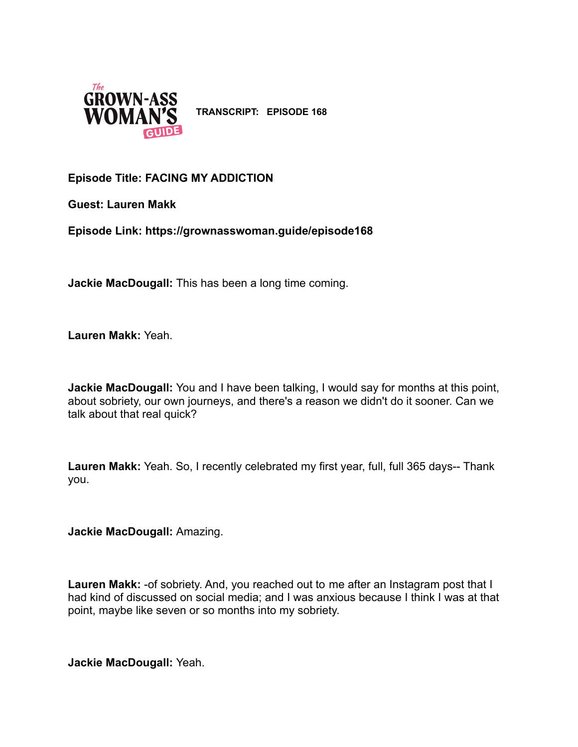

**TRANSCRIPT: EPISODE 168**

# **Episode Title: FACING MY ADDICTION**

**Guest: Lauren Makk**

**Episode Link: https://grownasswoman.guide/episode168**

**Jackie MacDougall:** This has been a long time coming.

**Lauren Makk:** Yeah.

**Jackie MacDougall:** You and I have been talking, I would say for months at this point, about sobriety, our own journeys, and there's a reason we didn't do it sooner. Can we talk about that real quick?

**Lauren Makk:** Yeah. So, I recently celebrated my first year, full, full 365 days-- Thank you.

**Jackie MacDougall:** Amazing.

**Lauren Makk:** -of sobriety. And, you reached out to me after an Instagram post that I had kind of discussed on social media; and I was anxious because I think I was at that point, maybe like seven or so months into my sobriety.

**Jackie MacDougall:** Yeah.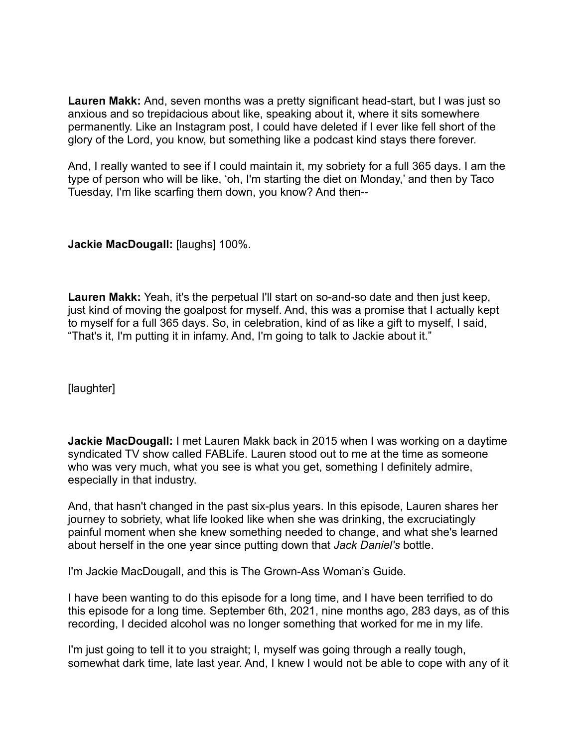**Lauren Makk:** And, seven months was a pretty significant head-start, but I was just so anxious and so trepidacious about like, speaking about it, where it sits somewhere permanently. Like an Instagram post, I could have deleted if I ever like fell short of the glory of the Lord, you know, but something like a podcast kind stays there forever.

And, I really wanted to see if I could maintain it, my sobriety for a full 365 days. I am the type of person who will be like, 'oh, I'm starting the diet on Monday,' and then by Taco Tuesday, I'm like scarfing them down, you know? And then--

**Jackie MacDougall:** [laughs] 100%.

**Lauren Makk:** Yeah, it's the perpetual I'll start on so-and-so date and then just keep, just kind of moving the goalpost for myself. And, this was a promise that I actually kept to myself for a full 365 days. So, in celebration, kind of as like a gift to myself, I said, "That's it, I'm putting it in infamy. And, I'm going to talk to Jackie about it."

[laughter]

**Jackie MacDougall:** I met Lauren Makk back in 2015 when I was working on a daytime syndicated TV show called FABLife. Lauren stood out to me at the time as someone who was very much, what you see is what you get, something I definitely admire, especially in that industry.

And, that hasn't changed in the past six-plus years. In this episode, Lauren shares her journey to sobriety, what life looked like when she was drinking, the excruciatingly painful moment when she knew something needed to change, and what she's learned about herself in the one year since putting down that *Jack Daniel's* bottle.

I'm Jackie MacDougall, and this is The Grown-Ass Woman's Guide.

I have been wanting to do this episode for a long time, and I have been terrified to do this episode for a long time. September 6th, 2021, nine months ago, 283 days, as of this recording, I decided alcohol was no longer something that worked for me in my life.

I'm just going to tell it to you straight; I, myself was going through a really tough, somewhat dark time, late last year. And, I knew I would not be able to cope with any of it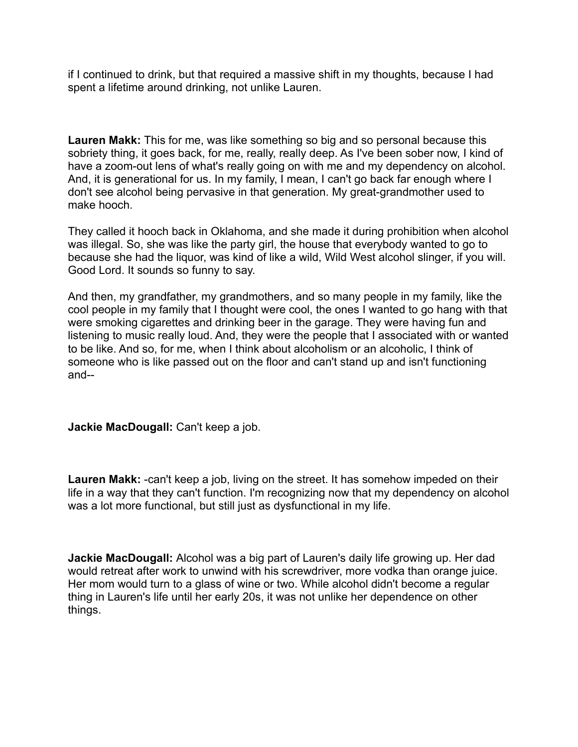if I continued to drink, but that required a massive shift in my thoughts, because I had spent a lifetime around drinking, not unlike Lauren.

**Lauren Makk:** This for me, was like something so big and so personal because this sobriety thing, it goes back, for me, really, really deep. As I've been sober now, I kind of have a zoom-out lens of what's really going on with me and my dependency on alcohol. And, it is generational for us. In my family, I mean, I can't go back far enough where I don't see alcohol being pervasive in that generation. My great-grandmother used to make hooch.

They called it hooch back in Oklahoma, and she made it during prohibition when alcohol was illegal. So, she was like the party girl, the house that everybody wanted to go to because she had the liquor, was kind of like a wild, Wild West alcohol slinger, if you will. Good Lord. It sounds so funny to say.

And then, my grandfather, my grandmothers, and so many people in my family, like the cool people in my family that I thought were cool, the ones I wanted to go hang with that were smoking cigarettes and drinking beer in the garage. They were having fun and listening to music really loud. And, they were the people that I associated with or wanted to be like. And so, for me, when I think about alcoholism or an alcoholic, I think of someone who is like passed out on the floor and can't stand up and isn't functioning and--

# **Jackie MacDougall:** Can't keep a job.

**Lauren Makk:** -can't keep a job, living on the street. It has somehow impeded on their life in a way that they can't function. I'm recognizing now that my dependency on alcohol was a lot more functional, but still just as dysfunctional in my life.

**Jackie MacDougall:** Alcohol was a big part of Lauren's daily life growing up. Her dad would retreat after work to unwind with his screwdriver, more vodka than orange juice. Her mom would turn to a glass of wine or two. While alcohol didn't become a regular thing in Lauren's life until her early 20s, it was not unlike her dependence on other things.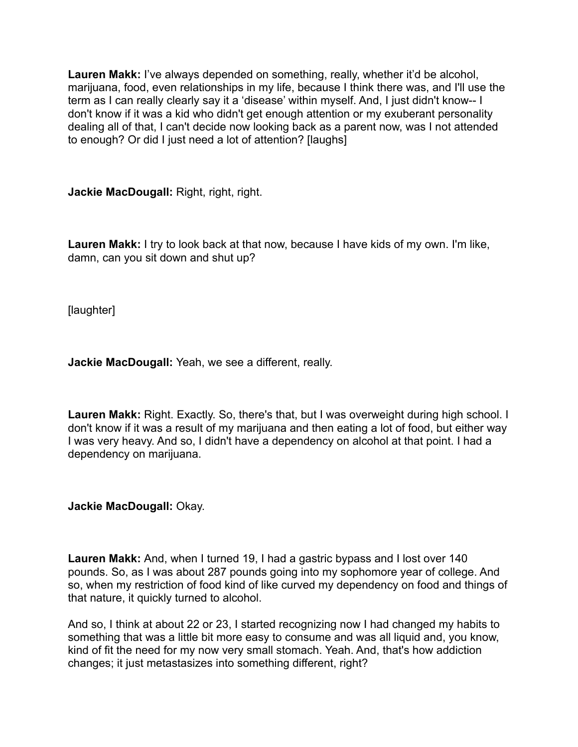**Lauren Makk:** I've always depended on something, really, whether it'd be alcohol, marijuana, food, even relationships in my life, because I think there was, and I'll use the term as I can really clearly say it a 'disease' within myself. And, I just didn't know-- I don't know if it was a kid who didn't get enough attention or my exuberant personality dealing all of that, I can't decide now looking back as a parent now, was I not attended to enough? Or did I just need a lot of attention? [laughs]

**Jackie MacDougall:** Right, right, right.

**Lauren Makk:** I try to look back at that now, because I have kids of my own. I'm like, damn, can you sit down and shut up?

[laughter]

**Jackie MacDougall:** Yeah, we see a different, really.

**Lauren Makk:** Right. Exactly. So, there's that, but I was overweight during high school. I don't know if it was a result of my marijuana and then eating a lot of food, but either way I was very heavy. And so, I didn't have a dependency on alcohol at that point. I had a dependency on marijuana.

**Jackie MacDougall:** Okay.

**Lauren Makk:** And, when I turned 19, I had a gastric bypass and I lost over 140 pounds. So, as I was about 287 pounds going into my sophomore year of college. And so, when my restriction of food kind of like curved my dependency on food and things of that nature, it quickly turned to alcohol.

And so, I think at about 22 or 23, I started recognizing now I had changed my habits to something that was a little bit more easy to consume and was all liquid and, you know, kind of fit the need for my now very small stomach. Yeah. And, that's how addiction changes; it just metastasizes into something different, right?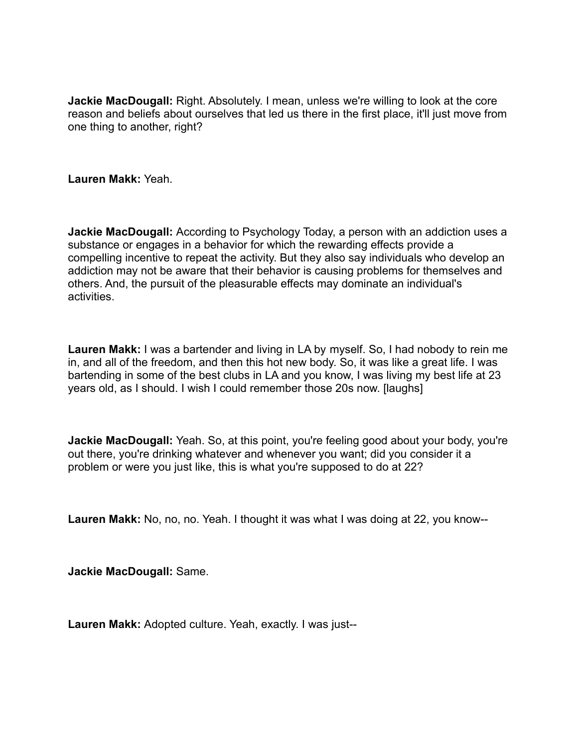**Jackie MacDougall:** Right. Absolutely. I mean, unless we're willing to look at the core reason and beliefs about ourselves that led us there in the first place, it'll just move from one thing to another, right?

**Lauren Makk:** Yeah.

**Jackie MacDougall:** According to Psychology Today, a person with an addiction uses a substance or engages in a behavior for which the rewarding effects provide a compelling incentive to repeat the activity. But they also say individuals who develop an addiction may not be aware that their behavior is causing problems for themselves and others. And, the pursuit of the pleasurable effects may dominate an individual's activities.

**Lauren Makk:** I was a bartender and living in LA by myself. So, I had nobody to rein me in, and all of the freedom, and then this hot new body. So, it was like a great life. I was bartending in some of the best clubs in LA and you know, I was living my best life at 23 years old, as I should. I wish I could remember those 20s now. [laughs]

**Jackie MacDougall:** Yeah. So, at this point, you're feeling good about your body, you're out there, you're drinking whatever and whenever you want; did you consider it a problem or were you just like, this is what you're supposed to do at 22?

**Lauren Makk:** No, no, no. Yeah. I thought it was what I was doing at 22, you know--

**Jackie MacDougall:** Same.

**Lauren Makk:** Adopted culture. Yeah, exactly. I was just--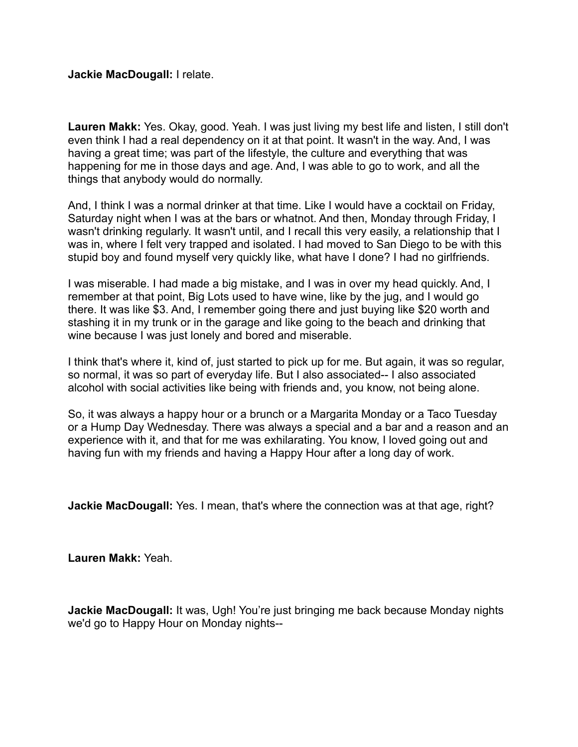**Jackie MacDougall:** I relate.

**Lauren Makk:** Yes. Okay, good. Yeah. I was just living my best life and listen, I still don't even think I had a real dependency on it at that point. It wasn't in the way. And, I was having a great time; was part of the lifestyle, the culture and everything that was happening for me in those days and age. And, I was able to go to work, and all the things that anybody would do normally.

And, I think I was a normal drinker at that time. Like I would have a cocktail on Friday, Saturday night when I was at the bars or whatnot. And then, Monday through Friday, I wasn't drinking regularly. It wasn't until, and I recall this very easily, a relationship that I was in, where I felt very trapped and isolated. I had moved to San Diego to be with this stupid boy and found myself very quickly like, what have I done? I had no girlfriends.

I was miserable. I had made a big mistake, and I was in over my head quickly. And, I remember at that point, Big Lots used to have wine, like by the jug, and I would go there. It was like \$3. And, I remember going there and just buying like \$20 worth and stashing it in my trunk or in the garage and like going to the beach and drinking that wine because I was just lonely and bored and miserable.

I think that's where it, kind of, just started to pick up for me. But again, it was so regular, so normal, it was so part of everyday life. But I also associated-- I also associated alcohol with social activities like being with friends and, you know, not being alone.

So, it was always a happy hour or a brunch or a Margarita Monday or a Taco Tuesday or a Hump Day Wednesday. There was always a special and a bar and a reason and an experience with it, and that for me was exhilarating. You know, I loved going out and having fun with my friends and having a Happy Hour after a long day of work.

**Jackie MacDougall:** Yes. I mean, that's where the connection was at that age, right?

**Lauren Makk:** Yeah.

**Jackie MacDougall:** It was, Ugh! You're just bringing me back because Monday nights we'd go to Happy Hour on Monday nights--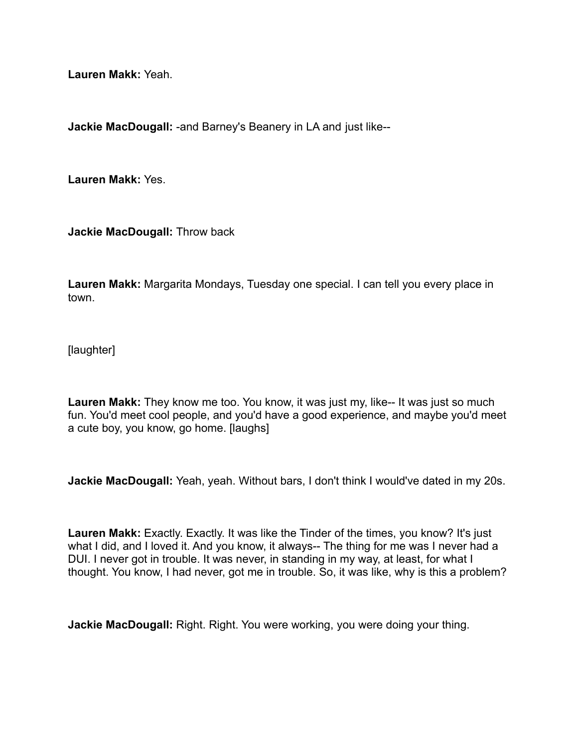**Lauren Makk:** Yeah.

**Jackie MacDougall:** -and Barney's Beanery in LA and just like--

**Lauren Makk:** Yes.

**Jackie MacDougall:** Throw back

**Lauren Makk:** Margarita Mondays, Tuesday one special. I can tell you every place in town.

[laughter]

**Lauren Makk:** They know me too. You know, it was just my, like-- It was just so much fun. You'd meet cool people, and you'd have a good experience, and maybe you'd meet a cute boy, you know, go home. [laughs]

**Jackie MacDougall:** Yeah, yeah. Without bars, I don't think I would've dated in my 20s.

**Lauren Makk:** Exactly. Exactly. It was like the Tinder of the times, you know? It's just what I did, and I loved it. And you know, it always-- The thing for me was I never had a DUI. I never got in trouble. It was never, in standing in my way, at least, for what I thought. You know, I had never, got me in trouble. So, it was like, why is this a problem?

**Jackie MacDougall:** Right. Right. You were working, you were doing your thing.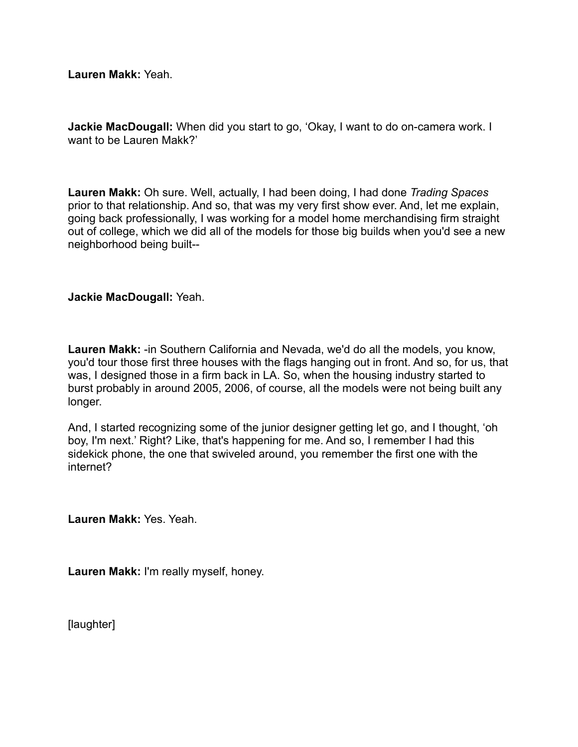**Lauren Makk:** Yeah.

**Jackie MacDougall:** When did you start to go, 'Okay, I want to do on-camera work. I want to be Lauren Makk?'

**Lauren Makk:** Oh sure. Well, actually, I had been doing, I had done *Trading Spaces* prior to that relationship. And so, that was my very first show ever. And, let me explain, going back professionally, I was working for a model home merchandising firm straight out of college, which we did all of the models for those big builds when you'd see a new neighborhood being built--

# **Jackie MacDougall:** Yeah.

**Lauren Makk:** -in Southern California and Nevada, we'd do all the models, you know, you'd tour those first three houses with the flags hanging out in front. And so, for us, that was, I designed those in a firm back in LA. So, when the housing industry started to burst probably in around 2005, 2006, of course, all the models were not being built any longer.

And, I started recognizing some of the junior designer getting let go, and I thought, 'oh boy, I'm next.' Right? Like, that's happening for me. And so, I remember I had this sidekick phone, the one that swiveled around, you remember the first one with the internet?

**Lauren Makk:** Yes. Yeah.

**Lauren Makk:** I'm really myself, honey.

[laughter]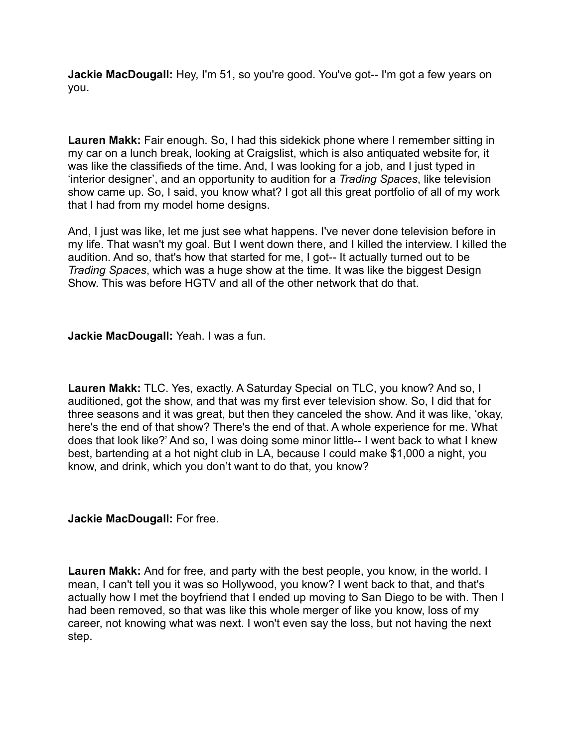**Jackie MacDougall:** Hey, I'm 51, so you're good. You've got-- I'm got a few years on you.

**Lauren Makk:** Fair enough. So, I had this sidekick phone where I remember sitting in my car on a lunch break, looking at Craigslist, which is also antiquated website for, it was like the classifieds of the time. And, I was looking for a job, and I just typed in 'interior designer', and an opportunity to audition for a *Trading Spaces*, like television show came up. So, I said, you know what? I got all this great portfolio of all of my work that I had from my model home designs.

And, I just was like, let me just see what happens. I've never done television before in my life. That wasn't my goal. But I went down there, and I killed the interview. I killed the audition. And so, that's how that started for me, I got-- It actually turned out to be *Trading Spaces*, which was a huge show at the time. It was like the biggest Design Show. This was before HGTV and all of the other network that do that.

**Jackie MacDougall:** Yeah. I was a fun.

**Lauren Makk:** TLC. Yes, exactly. A Saturday Special on TLC, you know? And so, I auditioned, got the show, and that was my first ever television show. So, I did that for three seasons and it was great, but then they canceled the show. And it was like, 'okay, here's the end of that show? There's the end of that. A whole experience for me. What does that look like?' And so, I was doing some minor little-- I went back to what I knew best, bartending at a hot night club in LA, because I could make \$1,000 a night, you know, and drink, which you don't want to do that, you know?

**Jackie MacDougall:** For free.

**Lauren Makk:** And for free, and party with the best people, you know, in the world. I mean, I can't tell you it was so Hollywood, you know? I went back to that, and that's actually how I met the boyfriend that I ended up moving to San Diego to be with. Then I had been removed, so that was like this whole merger of like you know, loss of my career, not knowing what was next. I won't even say the loss, but not having the next step.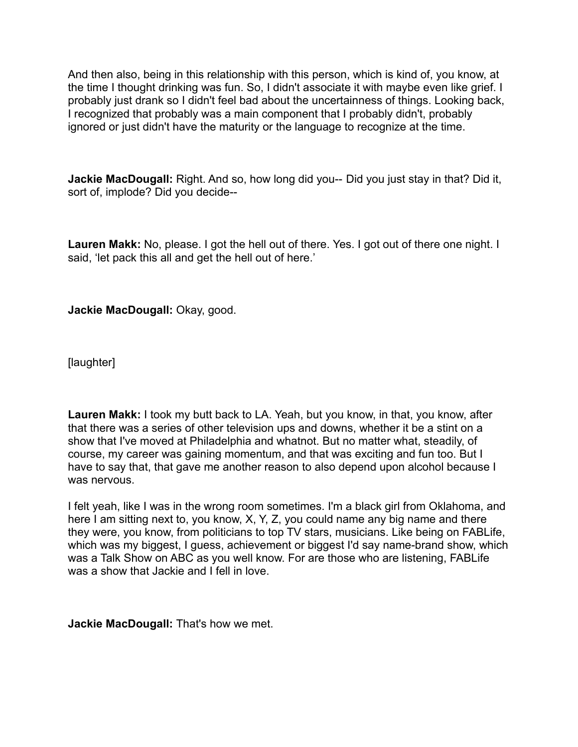And then also, being in this relationship with this person, which is kind of, you know, at the time I thought drinking was fun. So, I didn't associate it with maybe even like grief. I probably just drank so I didn't feel bad about the uncertainness of things. Looking back, I recognized that probably was a main component that I probably didn't, probably ignored or just didn't have the maturity or the language to recognize at the time.

**Jackie MacDougall:** Right. And so, how long did you-- Did you just stay in that? Did it, sort of, implode? Did you decide--

**Lauren Makk:** No, please. I got the hell out of there. Yes. I got out of there one night. I said, 'let pack this all and get the hell out of here.'

**Jackie MacDougall:** Okay, good.

[laughter]

**Lauren Makk:** I took my butt back to LA. Yeah, but you know, in that, you know, after that there was a series of other television ups and downs, whether it be a stint on a show that I've moved at Philadelphia and whatnot. But no matter what, steadily, of course, my career was gaining momentum, and that was exciting and fun too. But I have to say that, that gave me another reason to also depend upon alcohol because I was nervous.

I felt yeah, like I was in the wrong room sometimes. I'm a black girl from Oklahoma, and here I am sitting next to, you know, X, Y, Z, you could name any big name and there they were, you know, from politicians to top TV stars, musicians. Like being on FABLife, which was my biggest, I guess, achievement or biggest I'd say name-brand show, which was a Talk Show on ABC as you well know. For are those who are listening, FABLife was a show that Jackie and I fell in love.

**Jackie MacDougall:** That's how we met.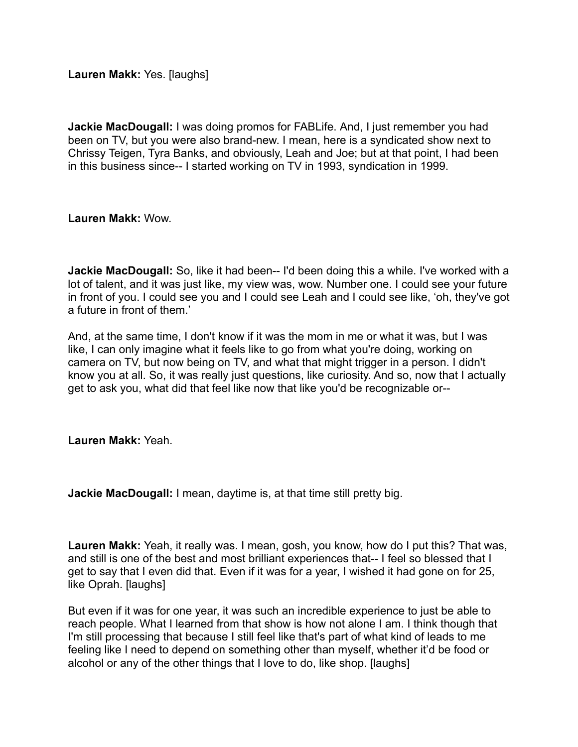**Lauren Makk:** Yes. [laughs]

**Jackie MacDougall:** I was doing promos for FABLife. And, I just remember you had been on TV, but you were also brand-new. I mean, here is a syndicated show next to Chrissy Teigen, Tyra Banks, and obviously, Leah and Joe; but at that point, I had been in this business since-- I started working on TV in 1993, syndication in 1999.

**Lauren Makk:** Wow.

**Jackie MacDougall:** So, like it had been-- I'd been doing this a while. I've worked with a lot of talent, and it was just like, my view was, wow. Number one. I could see your future in front of you. I could see you and I could see Leah and I could see like, 'oh, they've got a future in front of them.'

And, at the same time, I don't know if it was the mom in me or what it was, but I was like, I can only imagine what it feels like to go from what you're doing, working on camera on TV, but now being on TV, and what that might trigger in a person. I didn't know you at all. So, it was really just questions, like curiosity. And so, now that I actually get to ask you, what did that feel like now that like you'd be recognizable or--

**Lauren Makk:** Yeah.

**Jackie MacDougall:** I mean, daytime is, at that time still pretty big.

**Lauren Makk:** Yeah, it really was. I mean, gosh, you know, how do I put this? That was, and still is one of the best and most brilliant experiences that-- I feel so blessed that I get to say that I even did that. Even if it was for a year, I wished it had gone on for 25, like Oprah. [laughs]

But even if it was for one year, it was such an incredible experience to just be able to reach people. What I learned from that show is how not alone I am. I think though that I'm still processing that because I still feel like that's part of what kind of leads to me feeling like I need to depend on something other than myself, whether it'd be food or alcohol or any of the other things that I love to do, like shop. [laughs]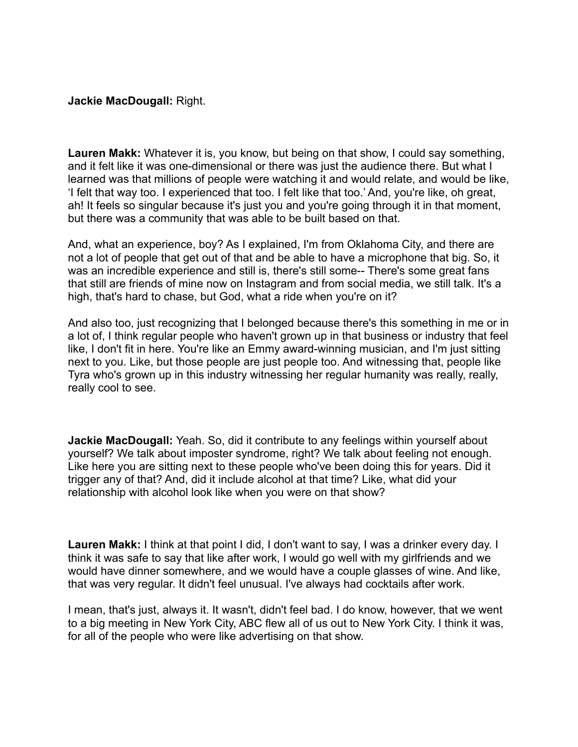### **Jackie MacDougall:** Right.

**Lauren Makk:** Whatever it is, you know, but being on that show, I could say something, and it felt like it was one-dimensional or there was just the audience there. But what I learned was that millions of people were watching it and would relate, and would be like, 'I felt that way too. I experienced that too. I felt like that too.' And, you're like, oh great, ah! It feels so singular because it's just you and you're going through it in that moment, but there was a community that was able to be built based on that.

And, what an experience, boy? As I explained, I'm from Oklahoma City, and there are not a lot of people that get out of that and be able to have a microphone that big. So, it was an incredible experience and still is, there's still some-- There's some great fans that still are friends of mine now on Instagram and from social media, we still talk. It's a high, that's hard to chase, but God, what a ride when you're on it?

And also too, just recognizing that I belonged because there's this something in me or in a lot of, I think regular people who haven't grown up in that business or industry that feel like, I don't fit in here. You're like an Emmy award-winning musician, and I'm just sitting next to you. Like, but those people are just people too. And witnessing that, people like Tyra who's grown up in this industry witnessing her regular humanity was really, really, really cool to see.

**Jackie MacDougall:** Yeah. So, did it contribute to any feelings within yourself about yourself? We talk about imposter syndrome, right? We talk about feeling not enough. Like here you are sitting next to these people who've been doing this for years. Did it trigger any of that? And, did it include alcohol at that time? Like, what did your relationship with alcohol look like when you were on that show?

**Lauren Makk:** I think at that point I did, I don't want to say, I was a drinker every day. I think it was safe to say that like after work, I would go well with my girlfriends and we would have dinner somewhere, and we would have a couple glasses of wine. And like, that was very regular. It didn't feel unusual. I've always had cocktails after work.

I mean, that's just, always it. It wasn't, didn't feel bad. I do know, however, that we went to a big meeting in New York City, ABC flew all of us out to New York City. I think it was, for all of the people who were like advertising on that show.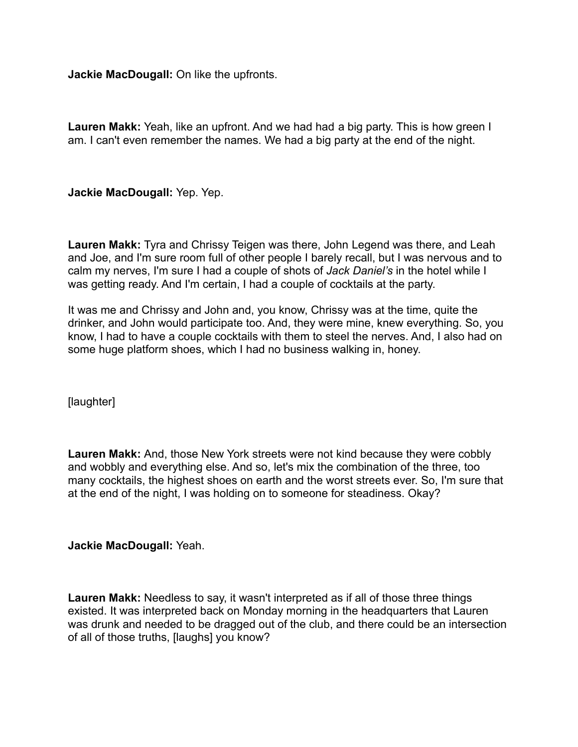**Jackie MacDougall:** On like the upfronts.

**Lauren Makk:** Yeah, like an upfront. And we had had a big party. This is how green I am. I can't even remember the names. We had a big party at the end of the night.

**Jackie MacDougall:** Yep. Yep.

**Lauren Makk:** Tyra and Chrissy Teigen was there, John Legend was there, and Leah and Joe, and I'm sure room full of other people I barely recall, but I was nervous and to calm my nerves, I'm sure I had a couple of shots of *Jack Daniel's* in the hotel while I was getting ready. And I'm certain, I had a couple of cocktails at the party.

It was me and Chrissy and John and, you know, Chrissy was at the time, quite the drinker, and John would participate too. And, they were mine, knew everything. So, you know, I had to have a couple cocktails with them to steel the nerves. And, I also had on some huge platform shoes, which I had no business walking in, honey.

[laughter]

**Lauren Makk:** And, those New York streets were not kind because they were cobbly and wobbly and everything else. And so, let's mix the combination of the three, too many cocktails, the highest shoes on earth and the worst streets ever. So, I'm sure that at the end of the night, I was holding on to someone for steadiness. Okay?

**Jackie MacDougall:** Yeah.

**Lauren Makk:** Needless to say, it wasn't interpreted as if all of those three things existed. It was interpreted back on Monday morning in the headquarters that Lauren was drunk and needed to be dragged out of the club, and there could be an intersection of all of those truths, [laughs] you know?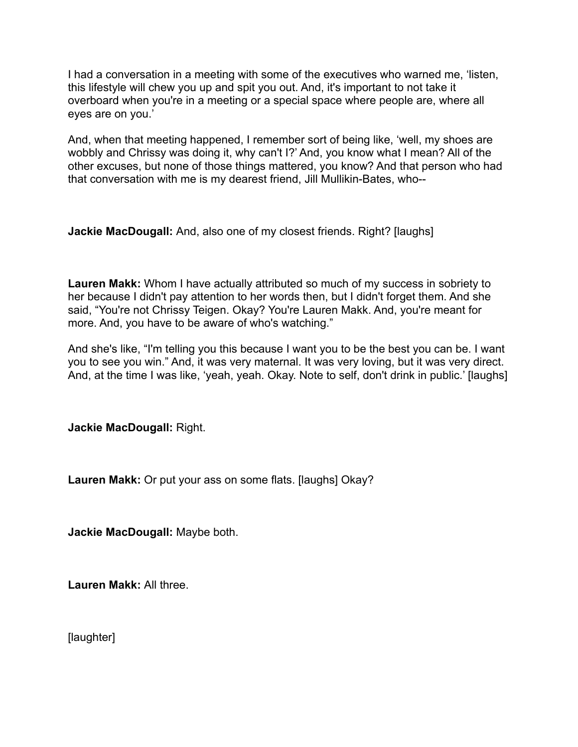I had a conversation in a meeting with some of the executives who warned me, 'listen, this lifestyle will chew you up and spit you out. And, it's important to not take it overboard when you're in a meeting or a special space where people are, where all eyes are on you.'

And, when that meeting happened, I remember sort of being like, 'well, my shoes are wobbly and Chrissy was doing it, why can't I?' And, you know what I mean? All of the other excuses, but none of those things mattered, you know? And that person who had that conversation with me is my dearest friend, Jill Mullikin-Bates, who--

**Jackie MacDougall:** And, also one of my closest friends. Right? [laughs]

**Lauren Makk:** Whom I have actually attributed so much of my success in sobriety to her because I didn't pay attention to her words then, but I didn't forget them. And she said, "You're not Chrissy Teigen. Okay? You're Lauren Makk. And, you're meant for more. And, you have to be aware of who's watching."

And she's like, "I'm telling you this because I want you to be the best you can be. I want you to see you win." And, it was very maternal. It was very loving, but it was very direct. And, at the time I was like, 'yeah, yeah. Okay. Note to self, don't drink in public.' [laughs]

**Jackie MacDougall:** Right.

**Lauren Makk:** Or put your ass on some flats. [laughs] Okay?

**Jackie MacDougall:** Maybe both.

**Lauren Makk:** All three.

[laughter]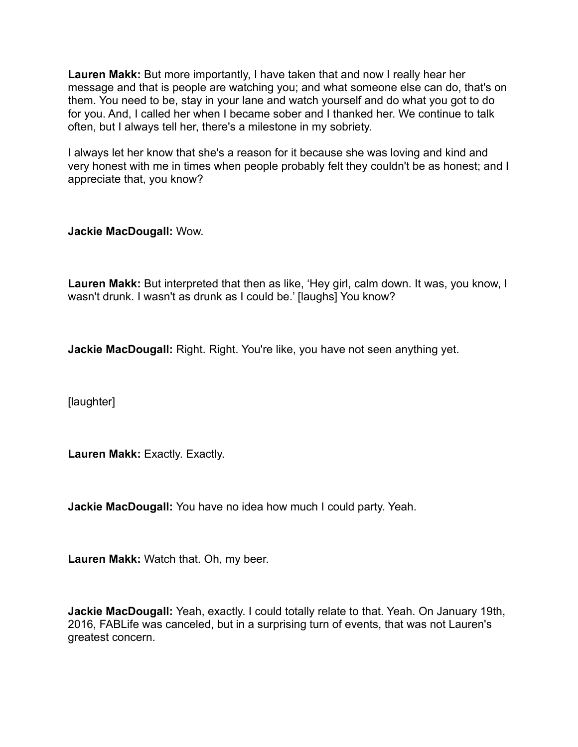**Lauren Makk:** But more importantly, I have taken that and now I really hear her message and that is people are watching you; and what someone else can do, that's on them. You need to be, stay in your lane and watch yourself and do what you got to do for you. And, I called her when I became sober and I thanked her. We continue to talk often, but I always tell her, there's a milestone in my sobriety.

I always let her know that she's a reason for it because she was loving and kind and very honest with me in times when people probably felt they couldn't be as honest; and I appreciate that, you know?

**Jackie MacDougall:** Wow.

**Lauren Makk:** But interpreted that then as like, 'Hey girl, calm down. It was, you know, I wasn't drunk. I wasn't as drunk as I could be.' [laughs] You know?

**Jackie MacDougall:** Right. Right. You're like, you have not seen anything yet.

[laughter]

**Lauren Makk:** Exactly. Exactly.

**Jackie MacDougall:** You have no idea how much I could party. Yeah.

**Lauren Makk:** Watch that. Oh, my beer.

**Jackie MacDougall:** Yeah, exactly. I could totally relate to that. Yeah. On January 19th, 2016, FABLife was canceled, but in a surprising turn of events, that was not Lauren's greatest concern.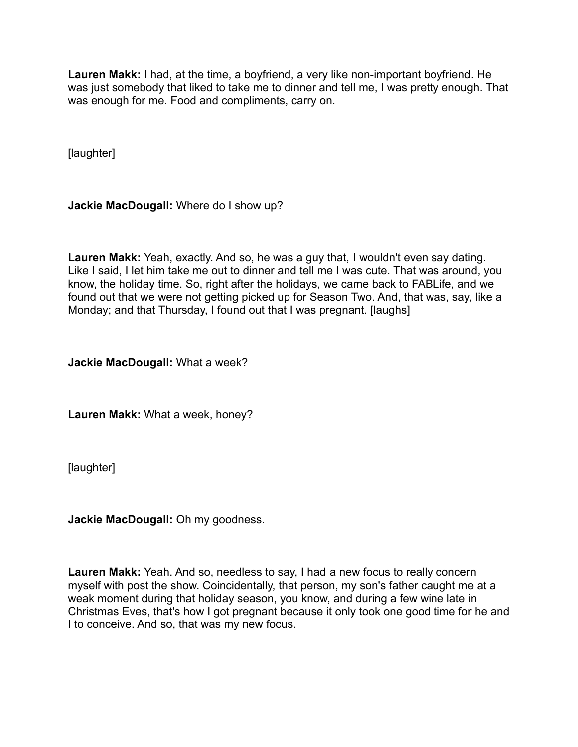**Lauren Makk:** I had, at the time, a boyfriend, a very like non-important boyfriend. He was just somebody that liked to take me to dinner and tell me, I was pretty enough. That was enough for me. Food and compliments, carry on.

[laughter]

**Jackie MacDougall:** Where do I show up?

**Lauren Makk:** Yeah, exactly. And so, he was a guy that, I wouldn't even say dating. Like I said, I let him take me out to dinner and tell me I was cute. That was around, you know, the holiday time. So, right after the holidays, we came back to FABLife, and we found out that we were not getting picked up for Season Two. And, that was, say, like a Monday; and that Thursday, I found out that I was pregnant. [laughs]

**Jackie MacDougall:** What a week?

**Lauren Makk:** What a week, honey?

[laughter]

**Jackie MacDougall:** Oh my goodness.

**Lauren Makk:** Yeah. And so, needless to say, I had a new focus to really concern myself with post the show. Coincidentally, that person, my son's father caught me at a weak moment during that holiday season, you know, and during a few wine late in Christmas Eves, that's how I got pregnant because it only took one good time for he and I to conceive. And so, that was my new focus.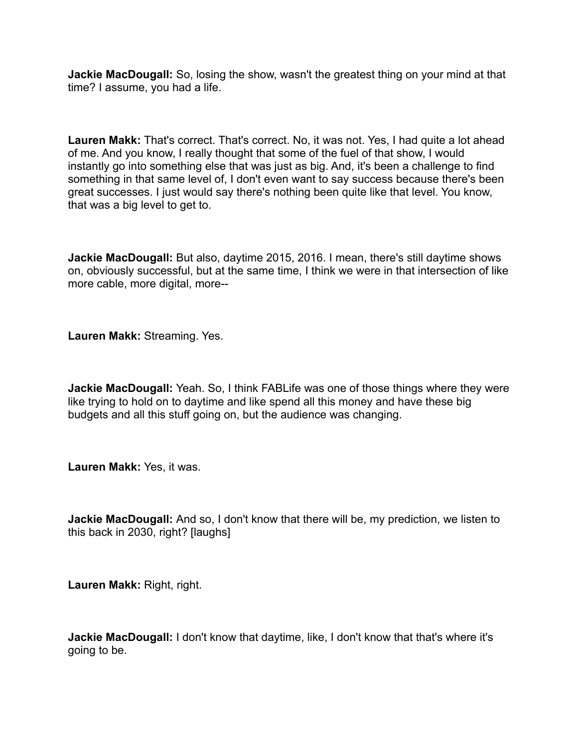**Jackie MacDougall:** So, losing the show, wasn't the greatest thing on your mind at that time? I assume, you had a life.

**Lauren Makk:** That's correct. That's correct. No, it was not. Yes, I had quite a lot ahead of me. And you know, I really thought that some of the fuel of that show, I would instantly go into something else that was just as big. And, it's been a challenge to find something in that same level of, I don't even want to say success because there's been great successes. I just would say there's nothing been quite like that level. You know, that was a big level to get to.

**Jackie MacDougall:** But also, daytime 2015, 2016. I mean, there's still daytime shows on, obviously successful, but at the same time, I think we were in that intersection of like more cable, more digital, more--

**Lauren Makk:** Streaming. Yes.

**Jackie MacDougall:** Yeah. So, I think FABLife was one of those things where they were like trying to hold on to daytime and like spend all this money and have these big budgets and all this stuff going on, but the audience was changing.

**Lauren Makk:** Yes, it was.

**Jackie MacDougall:** And so, I don't know that there will be, my prediction, we listen to this back in 2030, right? [laughs]

**Lauren Makk:** Right, right.

**Jackie MacDougall:** I don't know that daytime, like, I don't know that that's where it's going to be.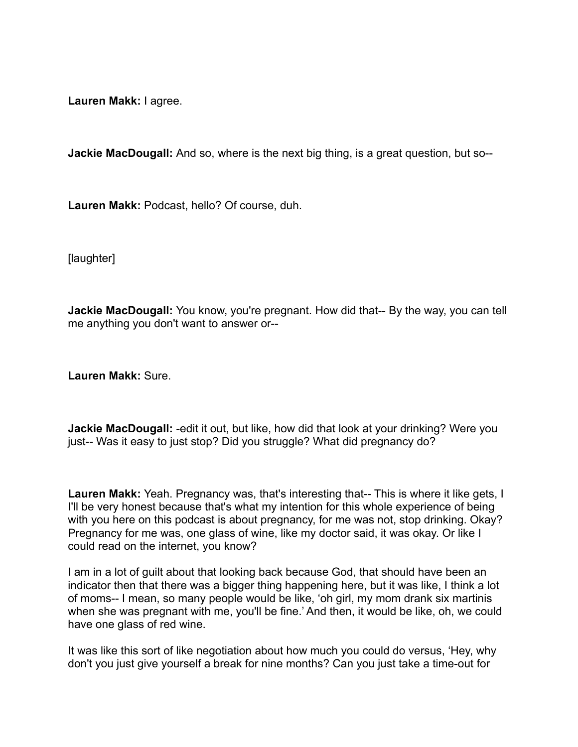**Lauren Makk:** I agree.

**Jackie MacDougall:** And so, where is the next big thing, is a great question, but so--

**Lauren Makk:** Podcast, hello? Of course, duh.

[laughter]

**Jackie MacDougall:** You know, you're pregnant. How did that-- By the way, you can tell me anything you don't want to answer or--

**Lauren Makk:** Sure.

**Jackie MacDougall:** -edit it out, but like, how did that look at your drinking? Were you just-- Was it easy to just stop? Did you struggle? What did pregnancy do?

**Lauren Makk:** Yeah. Pregnancy was, that's interesting that-- This is where it like gets, I I'll be very honest because that's what my intention for this whole experience of being with you here on this podcast is about pregnancy, for me was not, stop drinking. Okay? Pregnancy for me was, one glass of wine, like my doctor said, it was okay. Or like I could read on the internet, you know?

I am in a lot of guilt about that looking back because God, that should have been an indicator then that there was a bigger thing happening here, but it was like, I think a lot of moms-- I mean, so many people would be like, 'oh girl, my mom drank six martinis when she was pregnant with me, you'll be fine.' And then, it would be like, oh, we could have one glass of red wine.

It was like this sort of like negotiation about how much you could do versus, 'Hey, why don't you just give yourself a break for nine months? Can you just take a time-out for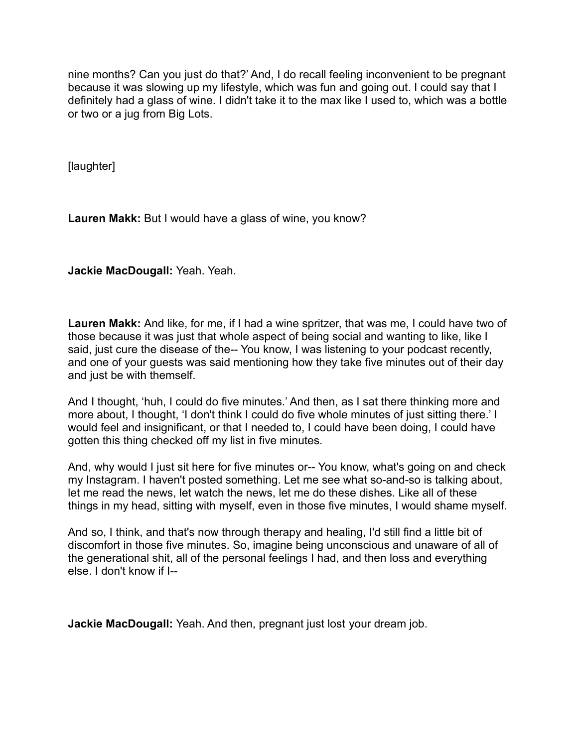nine months? Can you just do that?' And, I do recall feeling inconvenient to be pregnant because it was slowing up my lifestyle, which was fun and going out. I could say that I definitely had a glass of wine. I didn't take it to the max like I used to, which was a bottle or two or a jug from Big Lots.

[laughter]

**Lauren Makk:** But I would have a glass of wine, you know?

**Jackie MacDougall:** Yeah. Yeah.

**Lauren Makk:** And like, for me, if I had a wine spritzer, that was me, I could have two of those because it was just that whole aspect of being social and wanting to like, like I said, just cure the disease of the-- You know, I was listening to your podcast recently, and one of your guests was said mentioning how they take five minutes out of their day and just be with themself.

And I thought, 'huh, I could do five minutes.' And then, as I sat there thinking more and more about, I thought, 'I don't think I could do five whole minutes of just sitting there.' I would feel and insignificant, or that I needed to, I could have been doing, I could have gotten this thing checked off my list in five minutes.

And, why would I just sit here for five minutes or-- You know, what's going on and check my Instagram. I haven't posted something. Let me see what so-and-so is talking about, let me read the news, let watch the news, let me do these dishes. Like all of these things in my head, sitting with myself, even in those five minutes, I would shame myself.

And so, I think, and that's now through therapy and healing, I'd still find a little bit of discomfort in those five minutes. So, imagine being unconscious and unaware of all of the generational shit, all of the personal feelings I had, and then loss and everything else. I don't know if I--

**Jackie MacDougall:** Yeah. And then, pregnant just lost your dream job.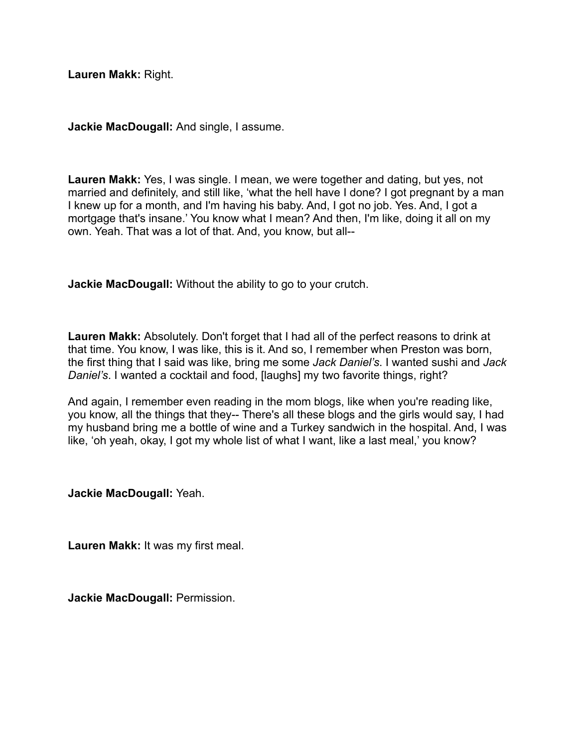**Lauren Makk:** Right.

**Jackie MacDougall:** And single, I assume.

**Lauren Makk:** Yes, I was single. I mean, we were together and dating, but yes, not married and definitely, and still like, 'what the hell have I done? I got pregnant by a man I knew up for a month, and I'm having his baby. And, I got no job. Yes. And, I got a mortgage that's insane.' You know what I mean? And then, I'm like, doing it all on my own. Yeah. That was a lot of that. And, you know, but all--

**Jackie MacDougall:** Without the ability to go to your crutch.

**Lauren Makk:** Absolutely. Don't forget that I had all of the perfect reasons to drink at that time. You know, I was like, this is it. And so, I remember when Preston was born, the first thing that I said was like, bring me some *Jack Daniel's*. I wanted sushi and *Jack Daniel's*. I wanted a cocktail and food, [laughs] my two favorite things, right?

And again, I remember even reading in the mom blogs, like when you're reading like, you know, all the things that they-- There's all these blogs and the girls would say, I had my husband bring me a bottle of wine and a Turkey sandwich in the hospital. And, I was like, 'oh yeah, okay, I got my whole list of what I want, like a last meal,' you know?

**Jackie MacDougall:** Yeah.

**Lauren Makk:** It was my first meal.

**Jackie MacDougall:** Permission.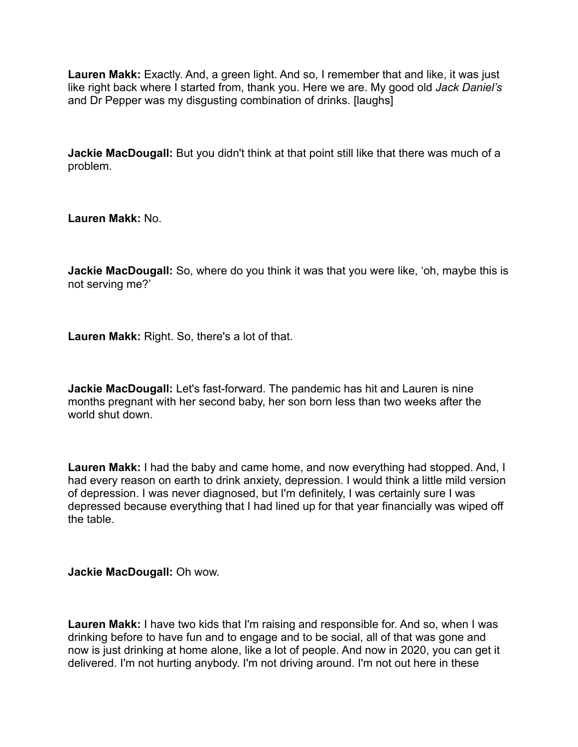**Lauren Makk:** Exactly. And, a green light. And so, I remember that and like, it was just like right back where I started from, thank you. Here we are. My good old *Jack Daniel's* and Dr Pepper was my disgusting combination of drinks. [laughs]

**Jackie MacDougall:** But you didn't think at that point still like that there was much of a problem.

**Lauren Makk:** No.

**Jackie MacDougall:** So, where do you think it was that you were like, 'oh, maybe this is not serving me?'

**Lauren Makk:** Right. So, there's a lot of that.

**Jackie MacDougall:** Let's fast-forward. The pandemic has hit and Lauren is nine months pregnant with her second baby, her son born less than two weeks after the world shut down.

**Lauren Makk:** I had the baby and came home, and now everything had stopped. And, I had every reason on earth to drink anxiety, depression. I would think a little mild version of depression. I was never diagnosed, but I'm definitely, I was certainly sure I was depressed because everything that I had lined up for that year financially was wiped off the table.

**Jackie MacDougall:** Oh wow.

**Lauren Makk:** I have two kids that I'm raising and responsible for. And so, when I was drinking before to have fun and to engage and to be social, all of that was gone and now is just drinking at home alone, like a lot of people. And now in 2020, you can get it delivered. I'm not hurting anybody. I'm not driving around. I'm not out here in these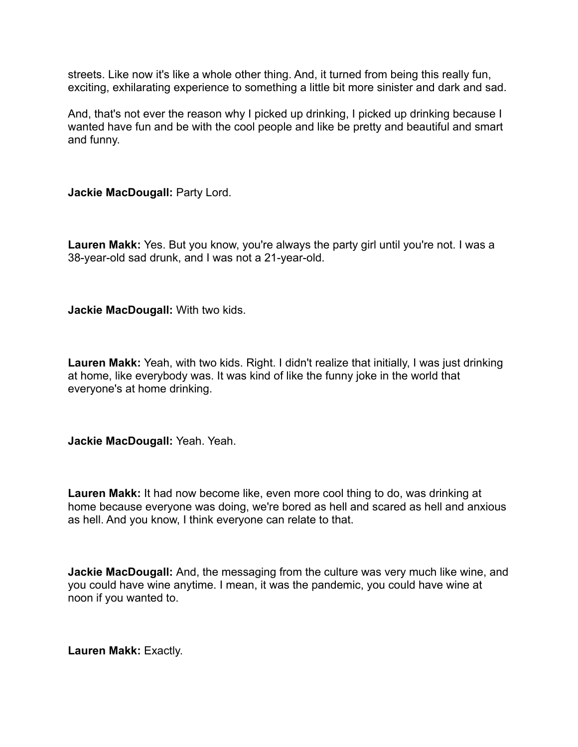streets. Like now it's like a whole other thing. And, it turned from being this really fun, exciting, exhilarating experience to something a little bit more sinister and dark and sad.

And, that's not ever the reason why I picked up drinking, I picked up drinking because I wanted have fun and be with the cool people and like be pretty and beautiful and smart and funny.

**Jackie MacDougall:** Party Lord.

**Lauren Makk:** Yes. But you know, you're always the party girl until you're not. I was a 38-year-old sad drunk, and I was not a 21-year-old.

**Jackie MacDougall:** With two kids.

**Lauren Makk:** Yeah, with two kids. Right. I didn't realize that initially, I was just drinking at home, like everybody was. It was kind of like the funny joke in the world that everyone's at home drinking.

**Jackie MacDougall:** Yeah. Yeah.

**Lauren Makk:** It had now become like, even more cool thing to do, was drinking at home because everyone was doing, we're bored as hell and scared as hell and anxious as hell. And you know, I think everyone can relate to that.

**Jackie MacDougall:** And, the messaging from the culture was very much like wine, and you could have wine anytime. I mean, it was the pandemic, you could have wine at noon if you wanted to.

**Lauren Makk:** Exactly.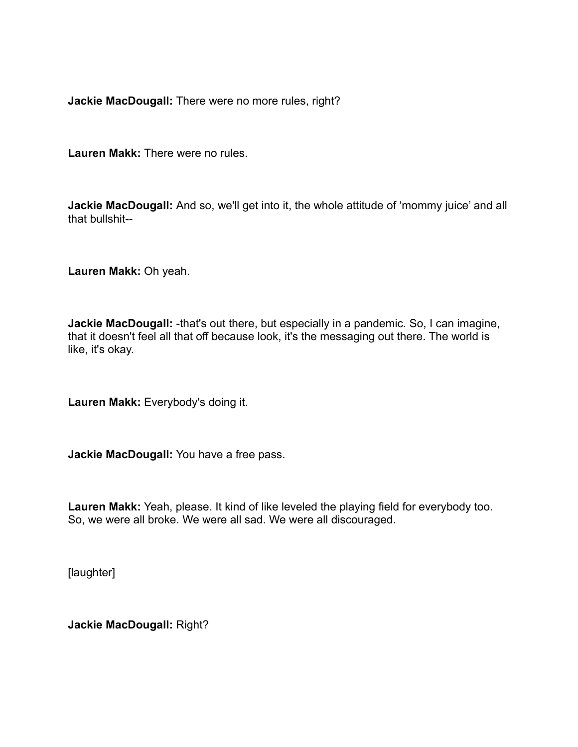**Jackie MacDougall:** There were no more rules, right?

**Lauren Makk:** There were no rules.

**Jackie MacDougall:** And so, we'll get into it, the whole attitude of 'mommy juice' and all that bullshit--

**Lauren Makk:** Oh yeah.

**Jackie MacDougall:** -that's out there, but especially in a pandemic. So, I can imagine, that it doesn't feel all that off because look, it's the messaging out there. The world is like, it's okay.

**Lauren Makk:** Everybody's doing it.

**Jackie MacDougall:** You have a free pass.

**Lauren Makk:** Yeah, please. It kind of like leveled the playing field for everybody too. So, we were all broke. We were all sad. We were all discouraged.

[laughter]

**Jackie MacDougall:** Right?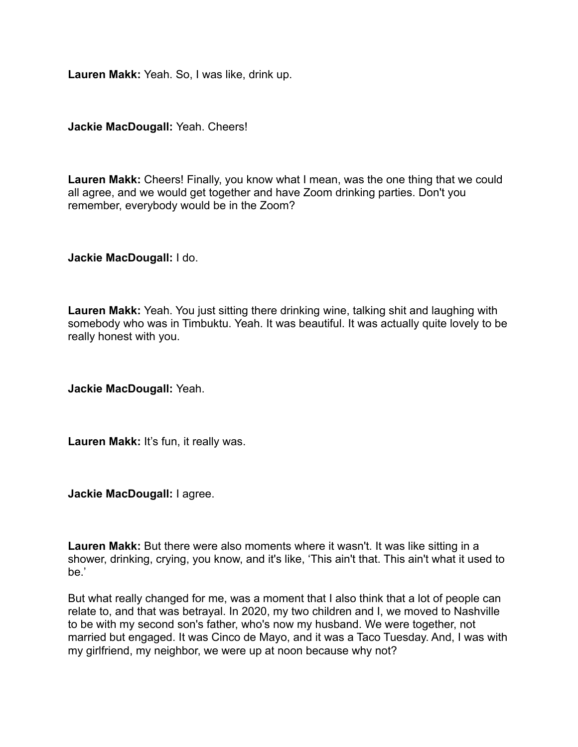**Lauren Makk:** Yeah. So, I was like, drink up.

**Jackie MacDougall:** Yeah. Cheers!

**Lauren Makk:** Cheers! Finally, you know what I mean, was the one thing that we could all agree, and we would get together and have Zoom drinking parties. Don't you remember, everybody would be in the Zoom?

**Jackie MacDougall:** I do.

**Lauren Makk:** Yeah. You just sitting there drinking wine, talking shit and laughing with somebody who was in Timbuktu. Yeah. It was beautiful. It was actually quite lovely to be really honest with you.

**Jackie MacDougall:** Yeah.

**Lauren Makk:** It's fun, it really was.

**Jackie MacDougall:** I agree.

**Lauren Makk:** But there were also moments where it wasn't. It was like sitting in a shower, drinking, crying, you know, and it's like, 'This ain't that. This ain't what it used to be.'

But what really changed for me, was a moment that I also think that a lot of people can relate to, and that was betrayal. In 2020, my two children and I, we moved to Nashville to be with my second son's father, who's now my husband. We were together, not married but engaged. It was Cinco de Mayo, and it was a Taco Tuesday. And, I was with my girlfriend, my neighbor, we were up at noon because why not?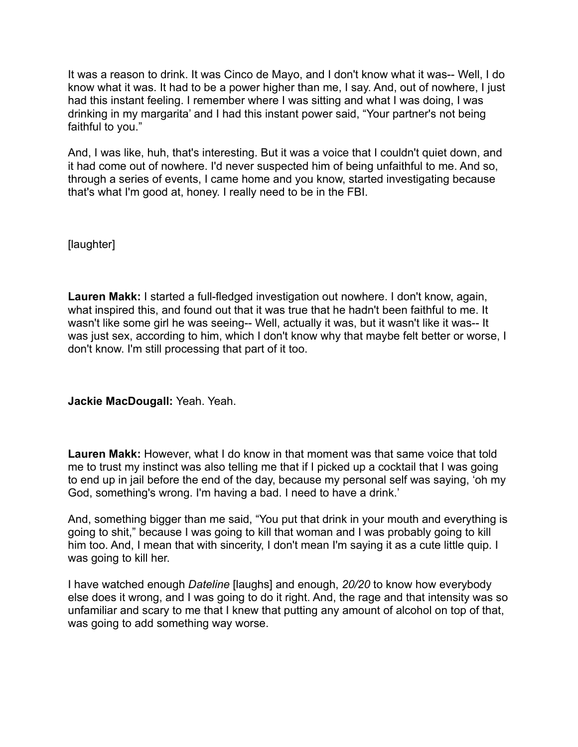It was a reason to drink. It was Cinco de Mayo, and I don't know what it was-- Well, I do know what it was. It had to be a power higher than me, I say. And, out of nowhere, I just had this instant feeling. I remember where I was sitting and what I was doing, I was drinking in my margarita' and I had this instant power said, "Your partner's not being faithful to you."

And, I was like, huh, that's interesting. But it was a voice that I couldn't quiet down, and it had come out of nowhere. I'd never suspected him of being unfaithful to me. And so, through a series of events, I came home and you know, started investigating because that's what I'm good at, honey. I really need to be in the FBI.

[laughter]

**Lauren Makk:** I started a full-fledged investigation out nowhere. I don't know, again, what inspired this, and found out that it was true that he hadn't been faithful to me. It wasn't like some girl he was seeing-- Well, actually it was, but it wasn't like it was-- It was just sex, according to him, which I don't know why that maybe felt better or worse, I don't know. I'm still processing that part of it too.

**Jackie MacDougall:** Yeah. Yeah.

**Lauren Makk:** However, what I do know in that moment was that same voice that told me to trust my instinct was also telling me that if I picked up a cocktail that I was going to end up in jail before the end of the day, because my personal self was saying, 'oh my God, something's wrong. I'm having a bad. I need to have a drink.'

And, something bigger than me said, "You put that drink in your mouth and everything is going to shit," because I was going to kill that woman and I was probably going to kill him too. And, I mean that with sincerity, I don't mean I'm saying it as a cute little quip. I was going to kill her.

I have watched enough *Dateline* [laughs] and enough, *20/20* to know how everybody else does it wrong, and I was going to do it right. And, the rage and that intensity was so unfamiliar and scary to me that I knew that putting any amount of alcohol on top of that, was going to add something way worse.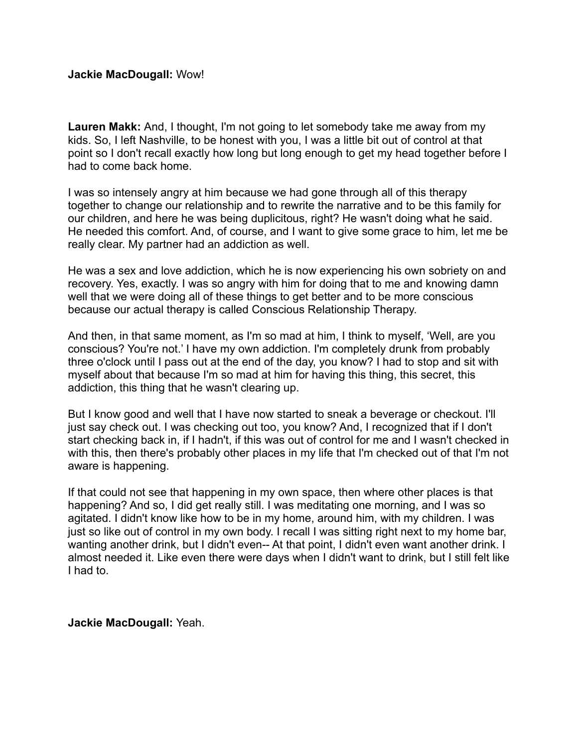**Lauren Makk:** And, I thought, I'm not going to let somebody take me away from my kids. So, I left Nashville, to be honest with you, I was a little bit out of control at that point so I don't recall exactly how long but long enough to get my head together before I had to come back home.

I was so intensely angry at him because we had gone through all of this therapy together to change our relationship and to rewrite the narrative and to be this family for our children, and here he was being duplicitous, right? He wasn't doing what he said. He needed this comfort. And, of course, and I want to give some grace to him, let me be really clear. My partner had an addiction as well.

He was a sex and love addiction, which he is now experiencing his own sobriety on and recovery. Yes, exactly. I was so angry with him for doing that to me and knowing damn well that we were doing all of these things to get better and to be more conscious because our actual therapy is called Conscious Relationship Therapy.

And then, in that same moment, as I'm so mad at him, I think to myself, 'Well, are you conscious? You're not.' I have my own addiction. I'm completely drunk from probably three o'clock until I pass out at the end of the day, you know? I had to stop and sit with myself about that because I'm so mad at him for having this thing, this secret, this addiction, this thing that he wasn't clearing up.

But I know good and well that I have now started to sneak a beverage or checkout. I'll just say check out. I was checking out too, you know? And, I recognized that if I don't start checking back in, if I hadn't, if this was out of control for me and I wasn't checked in with this, then there's probably other places in my life that I'm checked out of that I'm not aware is happening.

If that could not see that happening in my own space, then where other places is that happening? And so, I did get really still. I was meditating one morning, and I was so agitated. I didn't know like how to be in my home, around him, with my children. I was just so like out of control in my own body. I recall I was sitting right next to my home bar, wanting another drink, but I didn't even-- At that point, I didn't even want another drink. I almost needed it. Like even there were days when I didn't want to drink, but I still felt like I had to.

**Jackie MacDougall:** Yeah.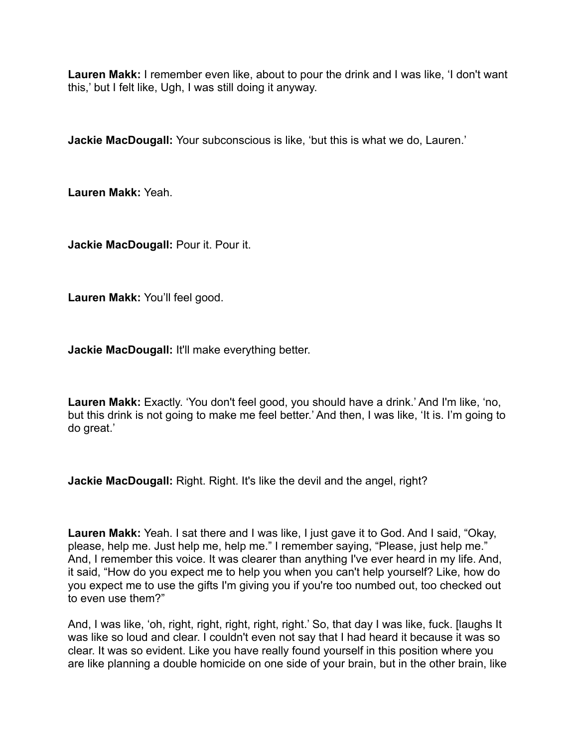**Lauren Makk:** I remember even like, about to pour the drink and I was like, 'I don't want this,' but I felt like, Ugh, I was still doing it anyway.

**Jackie MacDougall:** Your subconscious is like, 'but this is what we do, Lauren.'

**Lauren Makk:** Yeah.

**Jackie MacDougall:** Pour it. Pour it.

**Lauren Makk:** You'll feel good.

**Jackie MacDougall:** It'll make everything better.

**Lauren Makk:** Exactly. 'You don't feel good, you should have a drink.' And I'm like, 'no, but this drink is not going to make me feel better.' And then, I was like, 'It is. I'm going to do great.'

**Jackie MacDougall:** Right. Right. It's like the devil and the angel, right?

**Lauren Makk:** Yeah. I sat there and I was like, I just gave it to God. And I said, "Okay, please, help me. Just help me, help me." I remember saying, "Please, just help me." And, I remember this voice. It was clearer than anything I've ever heard in my life. And, it said, "How do you expect me to help you when you can't help yourself? Like, how do you expect me to use the gifts I'm giving you if you're too numbed out, too checked out to even use them?"

And, I was like, 'oh, right, right, right, right, right.' So, that day I was like, fuck. [laughs It was like so loud and clear. I couldn't even not say that I had heard it because it was so clear. It was so evident. Like you have really found yourself in this position where you are like planning a double homicide on one side of your brain, but in the other brain, like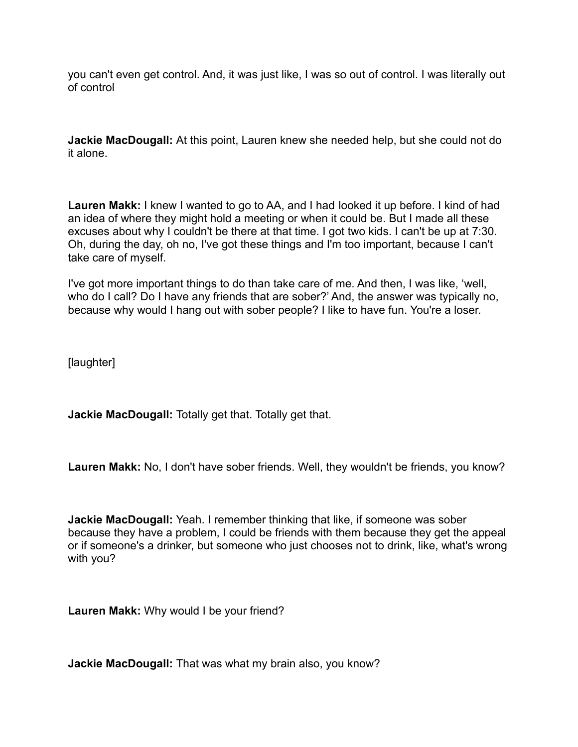you can't even get control. And, it was just like, I was so out of control. I was literally out of control

**Jackie MacDougall:** At this point, Lauren knew she needed help, but she could not do it alone.

**Lauren Makk:** I knew I wanted to go to AA, and I had looked it up before. I kind of had an idea of where they might hold a meeting or when it could be. But I made all these excuses about why I couldn't be there at that time. I got two kids. I can't be up at 7:30. Oh, during the day, oh no, I've got these things and I'm too important, because I can't take care of myself.

I've got more important things to do than take care of me. And then, I was like, 'well, who do I call? Do I have any friends that are sober?' And, the answer was typically no, because why would I hang out with sober people? I like to have fun. You're a loser.

[laughter]

**Jackie MacDougall:** Totally get that. Totally get that.

**Lauren Makk:** No, I don't have sober friends. Well, they wouldn't be friends, you know?

**Jackie MacDougall:** Yeah. I remember thinking that like, if someone was sober because they have a problem, I could be friends with them because they get the appeal or if someone's a drinker, but someone who just chooses not to drink, like, what's wrong with you?

**Lauren Makk:** Why would I be your friend?

**Jackie MacDougall:** That was what my brain also, you know?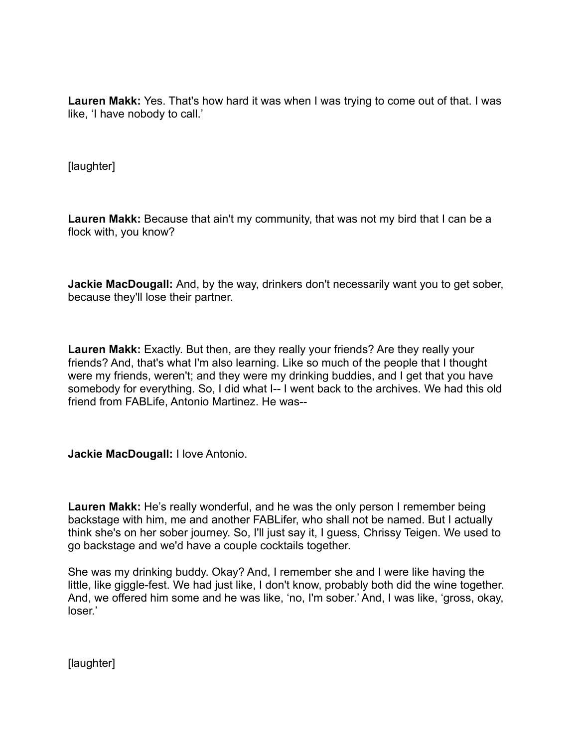**Lauren Makk:** Yes. That's how hard it was when I was trying to come out of that. I was like, 'I have nobody to call.'

[laughter]

**Lauren Makk:** Because that ain't my community, that was not my bird that I can be a flock with, you know?

**Jackie MacDougall:** And, by the way, drinkers don't necessarily want you to get sober, because they'll lose their partner.

**Lauren Makk:** Exactly. But then, are they really your friends? Are they really your friends? And, that's what I'm also learning. Like so much of the people that I thought were my friends, weren't; and they were my drinking buddies, and I get that you have somebody for everything. So, I did what I-- I went back to the archives. We had this old friend from FABLife, Antonio Martinez. He was--

**Jackie MacDougall:** I love Antonio.

**Lauren Makk:** He's really wonderful, and he was the only person I remember being backstage with him, me and another FABLifer, who shall not be named. But I actually think she's on her sober journey. So, I'll just say it, I guess, Chrissy Teigen. We used to go backstage and we'd have a couple cocktails together.

She was my drinking buddy. Okay? And, I remember she and I were like having the little, like giggle-fest. We had just like, I don't know, probably both did the wine together. And, we offered him some and he was like, 'no, I'm sober.' And, I was like, 'gross, okay, loser.'

[laughter]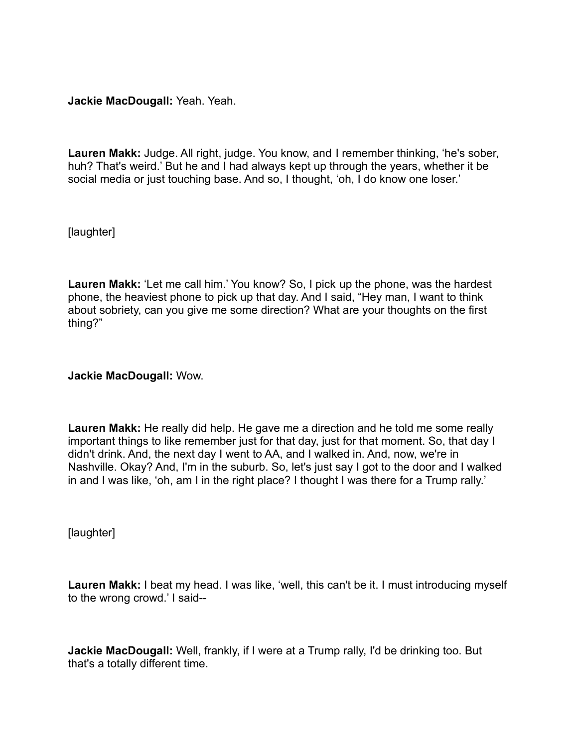**Jackie MacDougall:** Yeah. Yeah.

**Lauren Makk:** Judge. All right, judge. You know, and I remember thinking, 'he's sober, huh? That's weird.' But he and I had always kept up through the years, whether it be social media or just touching base. And so, I thought, 'oh, I do know one loser.'

[laughter]

**Lauren Makk:** 'Let me call him.' You know? So, I pick up the phone, was the hardest phone, the heaviest phone to pick up that day. And I said, "Hey man, I want to think about sobriety, can you give me some direction? What are your thoughts on the first thing?"

**Jackie MacDougall:** Wow.

**Lauren Makk:** He really did help. He gave me a direction and he told me some really important things to like remember just for that day, just for that moment. So, that day I didn't drink. And, the next day I went to AA, and I walked in. And, now, we're in Nashville. Okay? And, I'm in the suburb. So, let's just say I got to the door and I walked in and I was like, 'oh, am I in the right place? I thought I was there for a Trump rally.'

[laughter]

**Lauren Makk:** I beat my head. I was like, 'well, this can't be it. I must introducing myself to the wrong crowd.' I said--

**Jackie MacDougall:** Well, frankly, if I were at a Trump rally, I'd be drinking too. But that's a totally different time.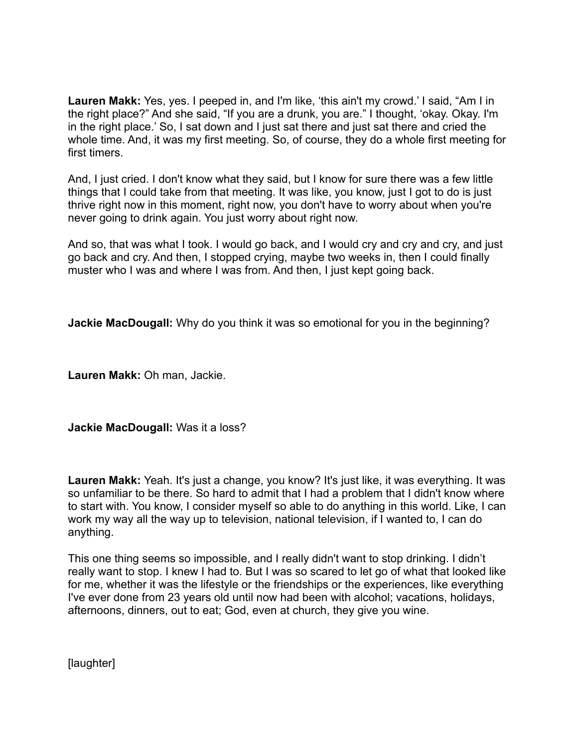**Lauren Makk:** Yes, yes. I peeped in, and I'm like, 'this ain't my crowd.' I said, "Am I in the right place?" And she said, "If you are a drunk, you are." I thought, 'okay. Okay. I'm in the right place.' So, I sat down and I just sat there and just sat there and cried the whole time. And, it was my first meeting. So, of course, they do a whole first meeting for first timers.

And, I just cried. I don't know what they said, but I know for sure there was a few little things that I could take from that meeting. It was like, you know, just I got to do is just thrive right now in this moment, right now, you don't have to worry about when you're never going to drink again. You just worry about right now.

And so, that was what I took. I would go back, and I would cry and cry and cry, and just go back and cry. And then, I stopped crying, maybe two weeks in, then I could finally muster who I was and where I was from. And then, I just kept going back.

**Jackie MacDougall:** Why do you think it was so emotional for you in the beginning?

**Lauren Makk:** Oh man, Jackie.

**Jackie MacDougall:** Was it a loss?

**Lauren Makk:** Yeah. It's just a change, you know? It's just like, it was everything. It was so unfamiliar to be there. So hard to admit that I had a problem that I didn't know where to start with. You know, I consider myself so able to do anything in this world. Like, I can work my way all the way up to television, national television, if I wanted to, I can do anything.

This one thing seems so impossible, and I really didn't want to stop drinking. I didn't really want to stop. I knew I had to. But I was so scared to let go of what that looked like for me, whether it was the lifestyle or the friendships or the experiences, like everything I've ever done from 23 years old until now had been with alcohol; vacations, holidays, afternoons, dinners, out to eat; God, even at church, they give you wine.

[laughter]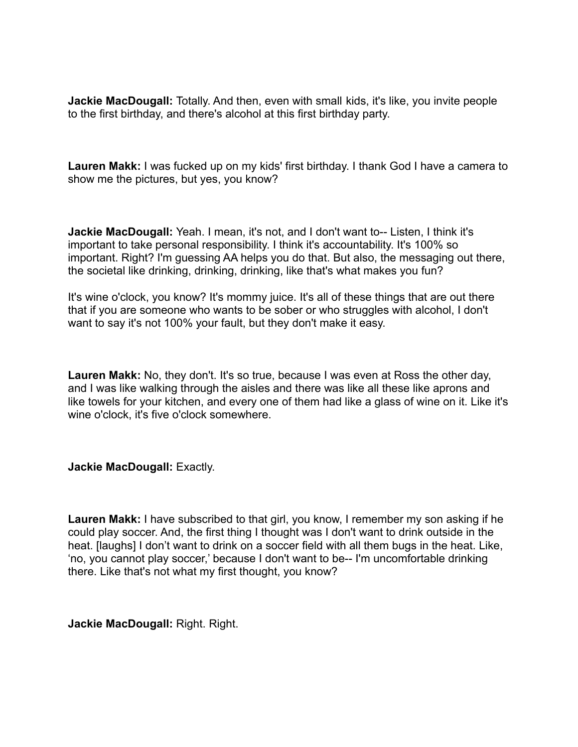**Jackie MacDougall:** Totally. And then, even with small kids, it's like, you invite people to the first birthday, and there's alcohol at this first birthday party.

**Lauren Makk:** I was fucked up on my kids' first birthday. I thank God I have a camera to show me the pictures, but yes, you know?

**Jackie MacDougall:** Yeah. I mean, it's not, and I don't want to-- Listen, I think it's important to take personal responsibility. I think it's accountability. It's 100% so important. Right? I'm guessing AA helps you do that. But also, the messaging out there, the societal like drinking, drinking, drinking, like that's what makes you fun?

It's wine o'clock, you know? It's mommy juice. It's all of these things that are out there that if you are someone who wants to be sober or who struggles with alcohol, I don't want to say it's not 100% your fault, but they don't make it easy.

**Lauren Makk:** No, they don't. It's so true, because I was even at Ross the other day, and I was like walking through the aisles and there was like all these like aprons and like towels for your kitchen, and every one of them had like a glass of wine on it. Like it's wine o'clock, it's five o'clock somewhere.

**Jackie MacDougall:** Exactly.

**Lauren Makk:** I have subscribed to that girl, you know, I remember my son asking if he could play soccer. And, the first thing I thought was I don't want to drink outside in the heat. [laughs] I don't want to drink on a soccer field with all them bugs in the heat. Like, 'no, you cannot play soccer,' because I don't want to be-- I'm uncomfortable drinking there. Like that's not what my first thought, you know?

**Jackie MacDougall:** Right. Right.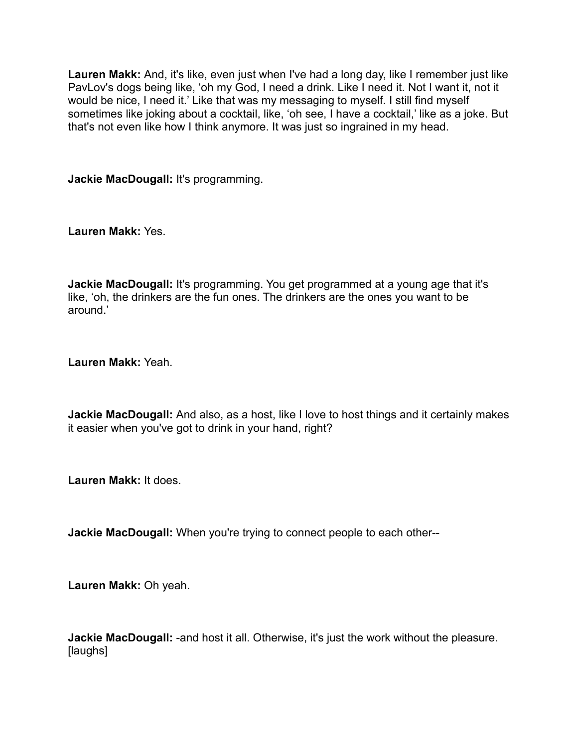**Lauren Makk:** And, it's like, even just when I've had a long day, like I remember just like PavLov's dogs being like, 'oh my God, I need a drink. Like I need it. Not I want it, not it would be nice, I need it.' Like that was my messaging to myself. I still find myself sometimes like joking about a cocktail, like, 'oh see, I have a cocktail,' like as a joke. But that's not even like how I think anymore. It was just so ingrained in my head.

**Jackie MacDougall:** It's programming.

**Lauren Makk:** Yes.

**Jackie MacDougall:** It's programming. You get programmed at a young age that it's like, 'oh, the drinkers are the fun ones. The drinkers are the ones you want to be around.'

**Lauren Makk:** Yeah.

**Jackie MacDougall:** And also, as a host, like I love to host things and it certainly makes it easier when you've got to drink in your hand, right?

**Lauren Makk:** It does.

**Jackie MacDougall:** When you're trying to connect people to each other--

**Lauren Makk:** Oh yeah.

**Jackie MacDougall:** -and host it all. Otherwise, it's just the work without the pleasure. [laughs]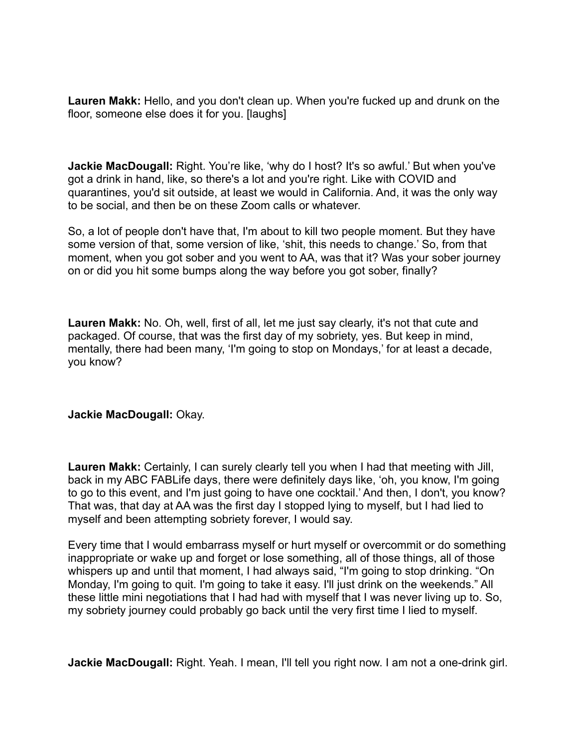**Lauren Makk:** Hello, and you don't clean up. When you're fucked up and drunk on the floor, someone else does it for you. [laughs]

Jackie MacDougall: Right. You're like, 'why do I host? It's so awful.' But when you've got a drink in hand, like, so there's a lot and you're right. Like with COVID and quarantines, you'd sit outside, at least we would in California. And, it was the only way to be social, and then be on these Zoom calls or whatever.

So, a lot of people don't have that, I'm about to kill two people moment. But they have some version of that, some version of like, 'shit, this needs to change.' So, from that moment, when you got sober and you went to AA, was that it? Was your sober journey on or did you hit some bumps along the way before you got sober, finally?

**Lauren Makk:** No. Oh, well, first of all, let me just say clearly, it's not that cute and packaged. Of course, that was the first day of my sobriety, yes. But keep in mind, mentally, there had been many, 'I'm going to stop on Mondays,' for at least a decade, you know?

#### **Jackie MacDougall:** Okay.

**Lauren Makk:** Certainly, I can surely clearly tell you when I had that meeting with Jill, back in my ABC FABLife days, there were definitely days like, 'oh, you know, I'm going to go to this event, and I'm just going to have one cocktail.' And then, I don't, you know? That was, that day at AA was the first day I stopped lying to myself, but I had lied to myself and been attempting sobriety forever, I would say.

Every time that I would embarrass myself or hurt myself or overcommit or do something inappropriate or wake up and forget or lose something, all of those things, all of those whispers up and until that moment, I had always said, "I'm going to stop drinking. "On Monday, I'm going to quit. I'm going to take it easy. I'll just drink on the weekends." All these little mini negotiations that I had had with myself that I was never living up to. So, my sobriety journey could probably go back until the very first time I lied to myself.

**Jackie MacDougall:** Right. Yeah. I mean, I'll tell you right now. I am not a one-drink girl.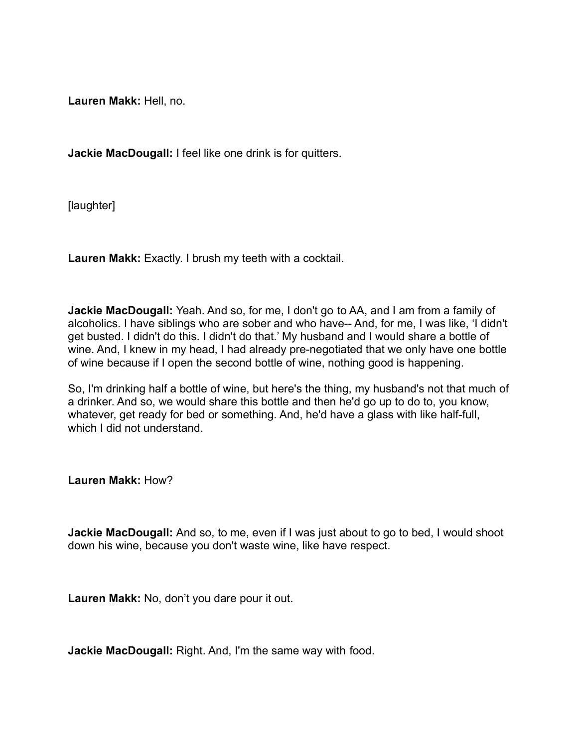**Lauren Makk:** Hell, no.

**Jackie MacDougall:** I feel like one drink is for quitters.

[laughter]

**Lauren Makk:** Exactly. I brush my teeth with a cocktail.

**Jackie MacDougall:** Yeah. And so, for me, I don't go to AA, and I am from a family of alcoholics. I have siblings who are sober and who have-- And, for me, I was like, 'I didn't get busted. I didn't do this. I didn't do that.' My husband and I would share a bottle of wine. And, I knew in my head, I had already pre-negotiated that we only have one bottle of wine because if I open the second bottle of wine, nothing good is happening.

So, I'm drinking half a bottle of wine, but here's the thing, my husband's not that much of a drinker. And so, we would share this bottle and then he'd go up to do to, you know, whatever, get ready for bed or something. And, he'd have a glass with like half-full, which I did not understand.

**Lauren Makk:** How?

**Jackie MacDougall:** And so, to me, even if I was just about to go to bed, I would shoot down his wine, because you don't waste wine, like have respect.

**Lauren Makk:** No, don't you dare pour it out.

**Jackie MacDougall:** Right. And, I'm the same way with food.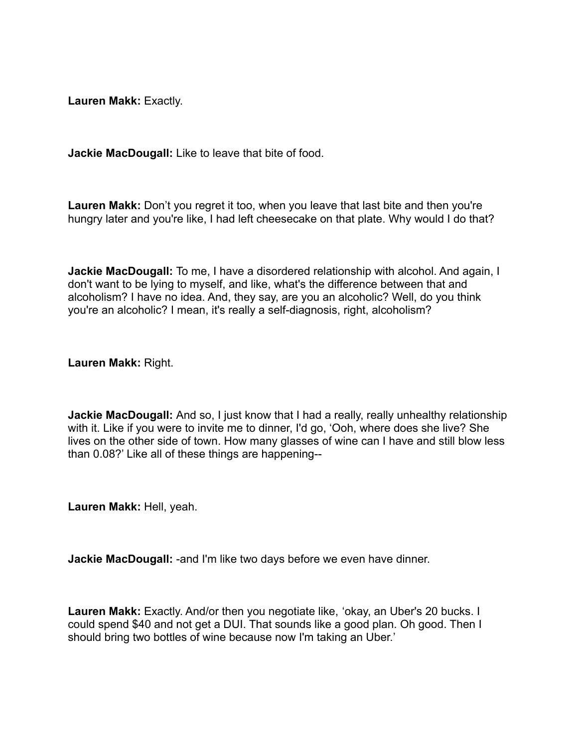**Lauren Makk:** Exactly.

**Jackie MacDougall:** Like to leave that bite of food.

**Lauren Makk:** Don't you regret it too, when you leave that last bite and then you're hungry later and you're like, I had left cheesecake on that plate. Why would I do that?

**Jackie MacDougall:** To me, I have a disordered relationship with alcohol. And again, I don't want to be lying to myself, and like, what's the difference between that and alcoholism? I have no idea. And, they say, are you an alcoholic? Well, do you think you're an alcoholic? I mean, it's really a self-diagnosis, right, alcoholism?

**Lauren Makk:** Right.

**Jackie MacDougall:** And so, I just know that I had a really, really unhealthy relationship with it. Like if you were to invite me to dinner, I'd go, 'Ooh, where does she live? She lives on the other side of town. How many glasses of wine can I have and still blow less than 0.08?' Like all of these things are happening--

**Lauren Makk:** Hell, yeah.

**Jackie MacDougall:** -and I'm like two days before we even have dinner.

**Lauren Makk:** Exactly. And/or then you negotiate like, 'okay, an Uber's 20 bucks. I could spend \$40 and not get a DUI. That sounds like a good plan. Oh good. Then I should bring two bottles of wine because now I'm taking an Uber.'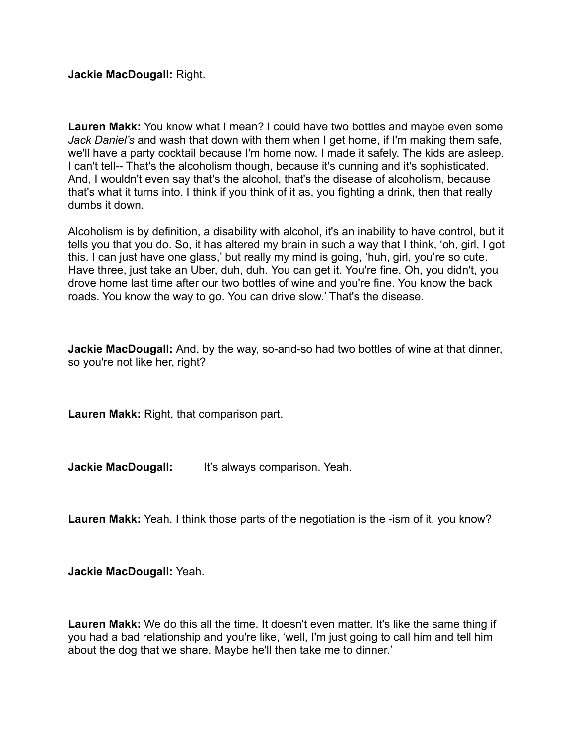**Jackie MacDougall:** Right.

**Lauren Makk:** You know what I mean? I could have two bottles and maybe even some *Jack Daniel's* and wash that down with them when I get home, if I'm making them safe, we'll have a party cocktail because I'm home now. I made it safely. The kids are asleep. I can't tell-- That's the alcoholism though, because it's cunning and it's sophisticated. And, I wouldn't even say that's the alcohol, that's the disease of alcoholism, because that's what it turns into. I think if you think of it as, you fighting a drink, then that really dumbs it down.

Alcoholism is by definition, a disability with alcohol, it's an inability to have control, but it tells you that you do. So, it has altered my brain in such a way that I think, 'oh, girl, I got this. I can just have one glass,' but really my mind is going, 'huh, girl, you're so cute. Have three, just take an Uber, duh, duh. You can get it. You're fine. Oh, you didn't, you drove home last time after our two bottles of wine and you're fine. You know the back roads. You know the way to go. You can drive slow.' That's the disease.

**Jackie MacDougall:** And, by the way, so-and-so had two bottles of wine at that dinner, so you're not like her, right?

**Lauren Makk:** Right, that comparison part.

**Jackie MacDougall:** It's always comparison. Yeah.

**Lauren Makk:** Yeah. I think those parts of the negotiation is the -ism of it, you know?

**Jackie MacDougall:** Yeah.

**Lauren Makk:** We do this all the time. It doesn't even matter. It's like the same thing if you had a bad relationship and you're like, 'well, I'm just going to call him and tell him about the dog that we share. Maybe he'll then take me to dinner.'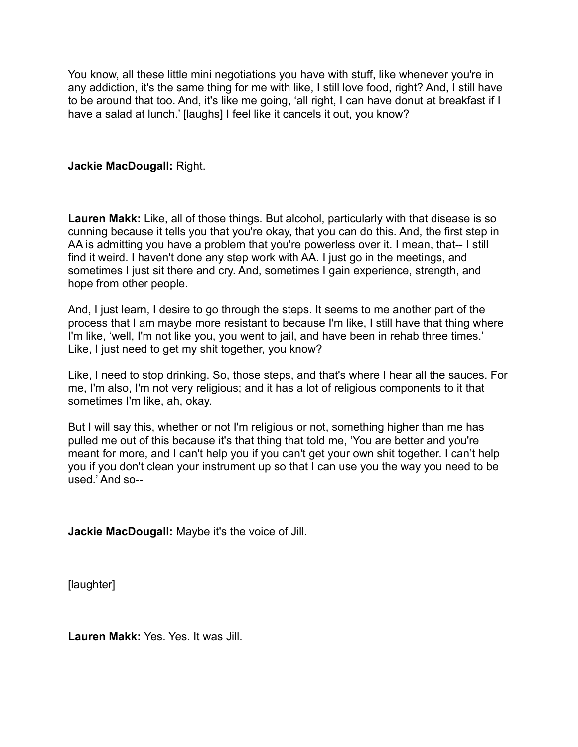You know, all these little mini negotiations you have with stuff, like whenever you're in any addiction, it's the same thing for me with like, I still love food, right? And, I still have to be around that too. And, it's like me going, 'all right, I can have donut at breakfast if I have a salad at lunch.' [laughs] I feel like it cancels it out, you know?

### **Jackie MacDougall:** Right.

**Lauren Makk:** Like, all of those things. But alcohol, particularly with that disease is so cunning because it tells you that you're okay, that you can do this. And, the first step in AA is admitting you have a problem that you're powerless over it. I mean, that-- I still find it weird. I haven't done any step work with AA. I just go in the meetings, and sometimes I just sit there and cry. And, sometimes I gain experience, strength, and hope from other people.

And, I just learn, I desire to go through the steps. It seems to me another part of the process that I am maybe more resistant to because I'm like, I still have that thing where I'm like, 'well, I'm not like you, you went to jail, and have been in rehab three times.' Like, I just need to get my shit together, you know?

Like, I need to stop drinking. So, those steps, and that's where I hear all the sauces. For me, I'm also, I'm not very religious; and it has a lot of religious components to it that sometimes I'm like, ah, okay.

But I will say this, whether or not I'm religious or not, something higher than me has pulled me out of this because it's that thing that told me, 'You are better and you're meant for more, and I can't help you if you can't get your own shit together. I can't help you if you don't clean your instrument up so that I can use you the way you need to be used.' And so--

**Jackie MacDougall:** Maybe it's the voice of Jill.

[laughter]

**Lauren Makk:** Yes. Yes. It was Jill.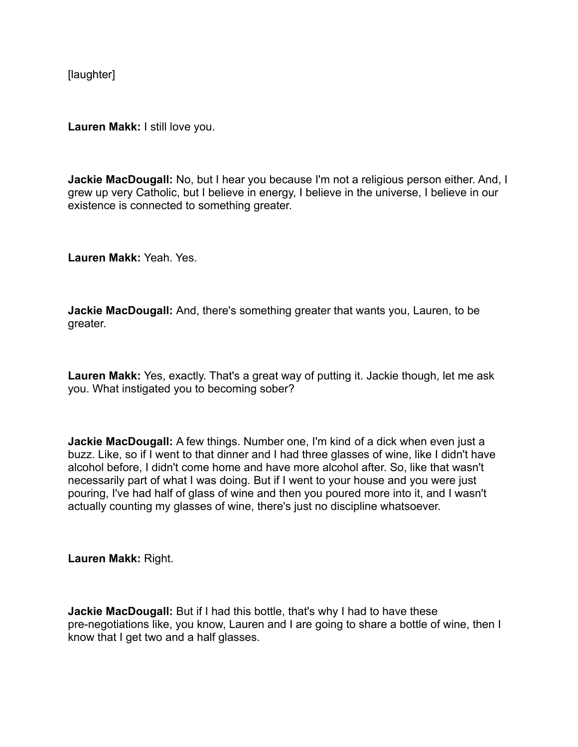[laughter]

**Lauren Makk:** I still love you.

**Jackie MacDougall:** No, but I hear you because I'm not a religious person either. And, I grew up very Catholic, but I believe in energy, I believe in the universe, I believe in our existence is connected to something greater.

**Lauren Makk:** Yeah. Yes.

**Jackie MacDougall:** And, there's something greater that wants you, Lauren, to be greater.

**Lauren Makk:** Yes, exactly. That's a great way of putting it. Jackie though, let me ask you. What instigated you to becoming sober?

**Jackie MacDougall:** A few things. Number one, I'm kind of a dick when even just a buzz. Like, so if I went to that dinner and I had three glasses of wine, like I didn't have alcohol before, I didn't come home and have more alcohol after. So, like that wasn't necessarily part of what I was doing. But if I went to your house and you were just pouring, I've had half of glass of wine and then you poured more into it, and I wasn't actually counting my glasses of wine, there's just no discipline whatsoever.

**Lauren Makk:** Right.

**Jackie MacDougall:** But if I had this bottle, that's why I had to have these pre-negotiations like, you know, Lauren and I are going to share a bottle of wine, then I know that I get two and a half glasses.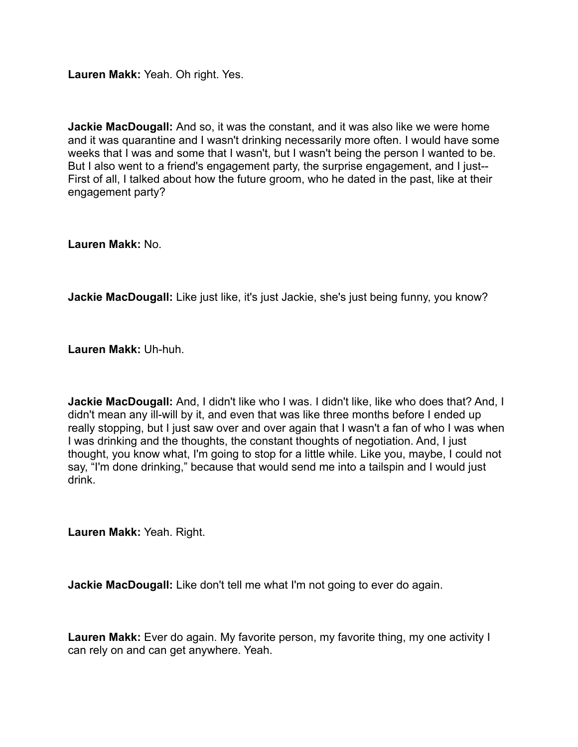**Lauren Makk:** Yeah. Oh right. Yes.

**Jackie MacDougall:** And so, it was the constant, and it was also like we were home and it was quarantine and I wasn't drinking necessarily more often. I would have some weeks that I was and some that I wasn't, but I wasn't being the person I wanted to be. But I also went to a friend's engagement party, the surprise engagement, and I just-- First of all, I talked about how the future groom, who he dated in the past, like at their engagement party?

**Lauren Makk:** No.

**Jackie MacDougall:** Like just like, it's just Jackie, she's just being funny, you know?

**Lauren Makk:** Uh-huh.

**Jackie MacDougall:** And, I didn't like who I was. I didn't like, like who does that? And, I didn't mean any ill-will by it, and even that was like three months before I ended up really stopping, but I just saw over and over again that I wasn't a fan of who I was when I was drinking and the thoughts, the constant thoughts of negotiation. And, I just thought, you know what, I'm going to stop for a little while. Like you, maybe, I could not say, "I'm done drinking," because that would send me into a tailspin and I would just drink.

**Lauren Makk:** Yeah. Right.

**Jackie MacDougall:** Like don't tell me what I'm not going to ever do again.

**Lauren Makk:** Ever do again. My favorite person, my favorite thing, my one activity I can rely on and can get anywhere. Yeah.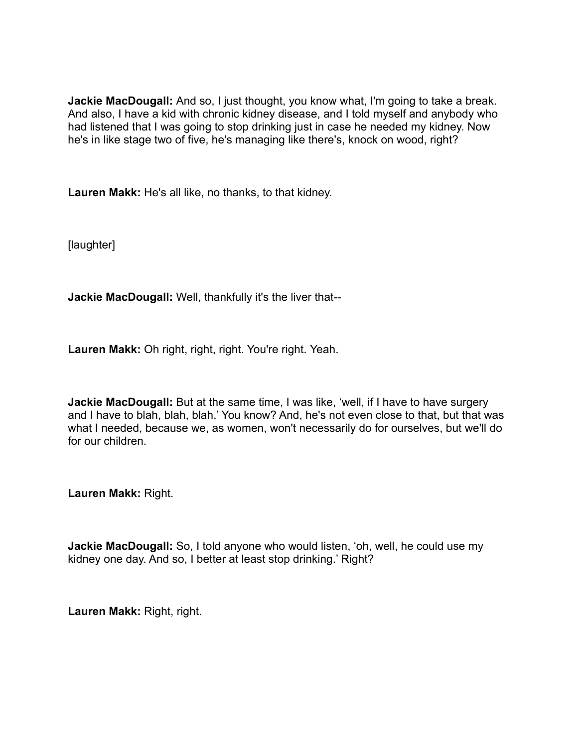**Jackie MacDougall:** And so, I just thought, you know what, I'm going to take a break. And also, I have a kid with chronic kidney disease, and I told myself and anybody who had listened that I was going to stop drinking just in case he needed my kidney. Now he's in like stage two of five, he's managing like there's, knock on wood, right?

**Lauren Makk:** He's all like, no thanks, to that kidney.

[laughter]

**Jackie MacDougall:** Well, thankfully it's the liver that--

**Lauren Makk:** Oh right, right, right. You're right. Yeah.

**Jackie MacDougall:** But at the same time, I was like, 'well, if I have to have surgery and I have to blah, blah, blah.' You know? And, he's not even close to that, but that was what I needed, because we, as women, won't necessarily do for ourselves, but we'll do for our children.

**Lauren Makk:** Right.

**Jackie MacDougall:** So, I told anyone who would listen, 'oh, well, he could use my kidney one day. And so, I better at least stop drinking.' Right?

**Lauren Makk:** Right, right.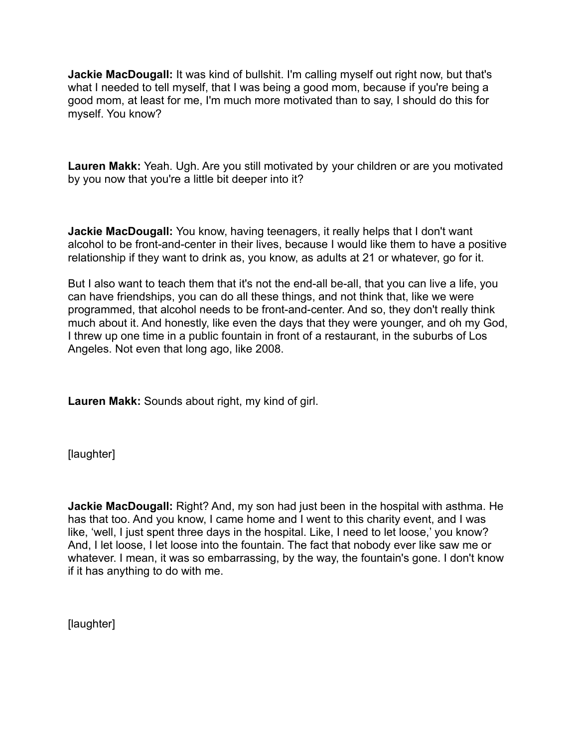**Jackie MacDougall:** It was kind of bullshit. I'm calling myself out right now, but that's what I needed to tell myself, that I was being a good mom, because if you're being a good mom, at least for me, I'm much more motivated than to say, I should do this for myself. You know?

**Lauren Makk:** Yeah. Ugh. Are you still motivated by your children or are you motivated by you now that you're a little bit deeper into it?

**Jackie MacDougall:** You know, having teenagers, it really helps that I don't want alcohol to be front-and-center in their lives, because I would like them to have a positive relationship if they want to drink as, you know, as adults at 21 or whatever, go for it.

But I also want to teach them that it's not the end-all be-all, that you can live a life, you can have friendships, you can do all these things, and not think that, like we were programmed, that alcohol needs to be front-and-center. And so, they don't really think much about it. And honestly, like even the days that they were younger, and oh my God, I threw up one time in a public fountain in front of a restaurant, in the suburbs of Los Angeles. Not even that long ago, like 2008.

**Lauren Makk:** Sounds about right, my kind of girl.

[laughter]

**Jackie MacDougall:** Right? And, my son had just been in the hospital with asthma. He has that too. And you know, I came home and I went to this charity event, and I was like, 'well, I just spent three days in the hospital. Like, I need to let loose,' you know? And, I let loose, I let loose into the fountain. The fact that nobody ever like saw me or whatever. I mean, it was so embarrassing, by the way, the fountain's gone. I don't know if it has anything to do with me.

[laughter]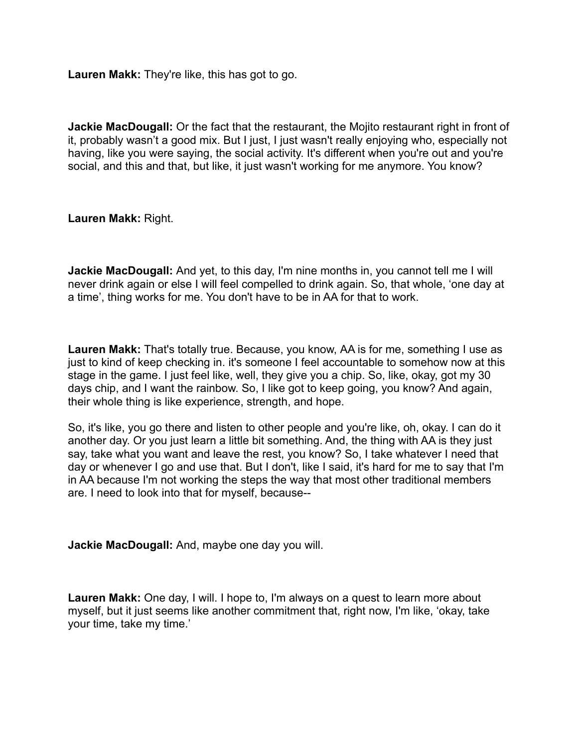**Lauren Makk:** They're like, this has got to go.

**Jackie MacDougall:** Or the fact that the restaurant, the Mojito restaurant right in front of it, probably wasn't a good mix. But I just, I just wasn't really enjoying who, especially not having, like you were saying, the social activity. It's different when you're out and you're social, and this and that, but like, it just wasn't working for me anymore. You know?

**Lauren Makk:** Right.

**Jackie MacDougall:** And yet, to this day, I'm nine months in, you cannot tell me I will never drink again or else I will feel compelled to drink again. So, that whole, 'one day at a time', thing works for me. You don't have to be in AA for that to work.

**Lauren Makk:** That's totally true. Because, you know, AA is for me, something I use as just to kind of keep checking in. it's someone I feel accountable to somehow now at this stage in the game. I just feel like, well, they give you a chip. So, like, okay, got my 30 days chip, and I want the rainbow. So, I like got to keep going, you know? And again, their whole thing is like experience, strength, and hope.

So, it's like, you go there and listen to other people and you're like, oh, okay. I can do it another day. Or you just learn a little bit something. And, the thing with AA is they just say, take what you want and leave the rest, you know? So, I take whatever I need that day or whenever I go and use that. But I don't, like I said, it's hard for me to say that I'm in AA because I'm not working the steps the way that most other traditional members are. I need to look into that for myself, because--

**Jackie MacDougall:** And, maybe one day you will.

**Lauren Makk:** One day, I will. I hope to, I'm always on a quest to learn more about myself, but it just seems like another commitment that, right now, I'm like, 'okay, take your time, take my time.'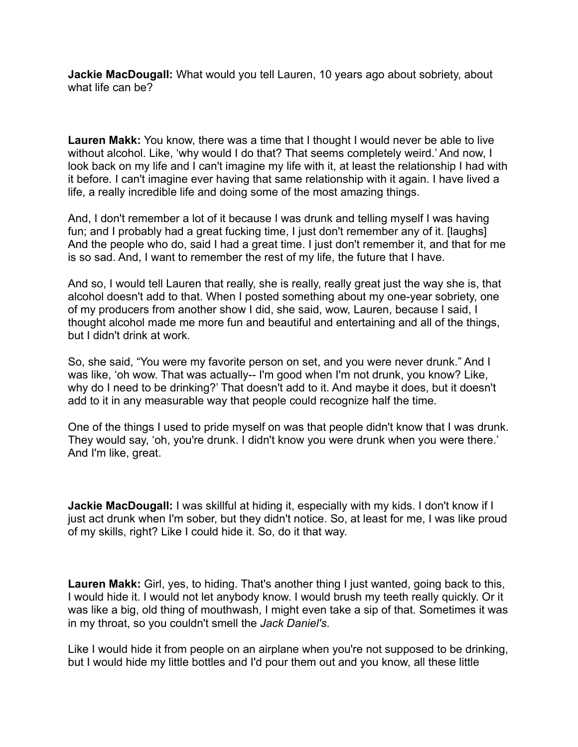**Jackie MacDougall:** What would you tell Lauren, 10 years ago about sobriety, about what life can be?

**Lauren Makk:** You know, there was a time that I thought I would never be able to live without alcohol. Like, 'why would I do that? That seems completely weird.' And now, I look back on my life and I can't imagine my life with it, at least the relationship I had with it before. I can't imagine ever having that same relationship with it again. I have lived a life, a really incredible life and doing some of the most amazing things.

And, I don't remember a lot of it because I was drunk and telling myself I was having fun; and I probably had a great fucking time, I just don't remember any of it. [laughs] And the people who do, said I had a great time. I just don't remember it, and that for me is so sad. And, I want to remember the rest of my life, the future that I have.

And so, I would tell Lauren that really, she is really, really great just the way she is, that alcohol doesn't add to that. When I posted something about my one-year sobriety, one of my producers from another show I did, she said, wow, Lauren, because I said, I thought alcohol made me more fun and beautiful and entertaining and all of the things, but I didn't drink at work.

So, she said, "You were my favorite person on set, and you were never drunk." And I was like, 'oh wow. That was actually-- I'm good when I'm not drunk, you know? Like, why do I need to be drinking?' That doesn't add to it. And maybe it does, but it doesn't add to it in any measurable way that people could recognize half the time.

One of the things I used to pride myself on was that people didn't know that I was drunk. They would say, 'oh, you're drunk. I didn't know you were drunk when you were there.' And I'm like, great.

**Jackie MacDougall:** I was skillful at hiding it, especially with my kids. I don't know if I just act drunk when I'm sober, but they didn't notice. So, at least for me, I was like proud of my skills, right? Like I could hide it. So, do it that way.

**Lauren Makk:** Girl, yes, to hiding. That's another thing I just wanted, going back to this, I would hide it. I would not let anybody know. I would brush my teeth really quickly. Or it was like a big, old thing of mouthwash, I might even take a sip of that. Sometimes it was in my throat, so you couldn't smell the *Jack Daniel's*.

Like I would hide it from people on an airplane when you're not supposed to be drinking, but I would hide my little bottles and I'd pour them out and you know, all these little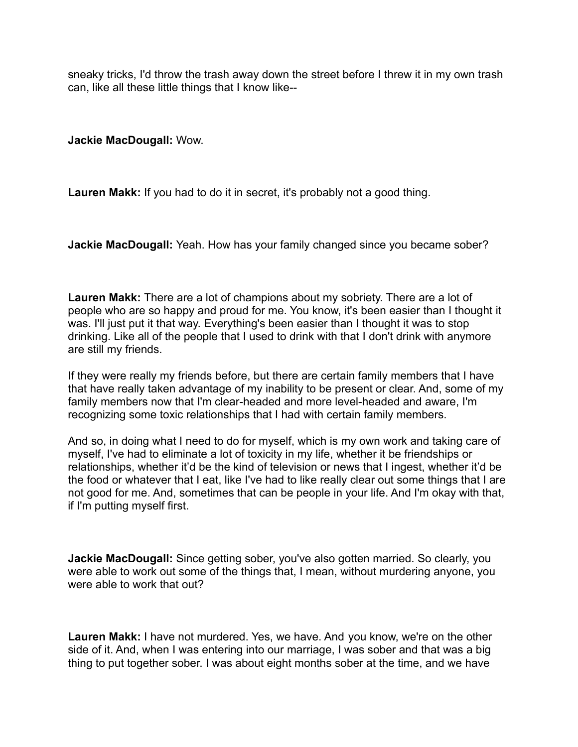sneaky tricks, I'd throw the trash away down the street before I threw it in my own trash can, like all these little things that I know like--

**Jackie MacDougall:** Wow.

**Lauren Makk:** If you had to do it in secret, it's probably not a good thing.

**Jackie MacDougall:** Yeah. How has your family changed since you became sober?

**Lauren Makk:** There are a lot of champions about my sobriety. There are a lot of people who are so happy and proud for me. You know, it's been easier than I thought it was. I'll just put it that way. Everything's been easier than I thought it was to stop drinking. Like all of the people that I used to drink with that I don't drink with anymore are still my friends.

If they were really my friends before, but there are certain family members that I have that have really taken advantage of my inability to be present or clear. And, some of my family members now that I'm clear-headed and more level-headed and aware, I'm recognizing some toxic relationships that I had with certain family members.

And so, in doing what I need to do for myself, which is my own work and taking care of myself, I've had to eliminate a lot of toxicity in my life, whether it be friendships or relationships, whether it'd be the kind of television or news that I ingest, whether it'd be the food or whatever that I eat, like I've had to like really clear out some things that I are not good for me. And, sometimes that can be people in your life. And I'm okay with that, if I'm putting myself first.

**Jackie MacDougall:** Since getting sober, you've also gotten married. So clearly, you were able to work out some of the things that, I mean, without murdering anyone, you were able to work that out?

**Lauren Makk:** I have not murdered. Yes, we have. And you know, we're on the other side of it. And, when I was entering into our marriage, I was sober and that was a big thing to put together sober. I was about eight months sober at the time, and we have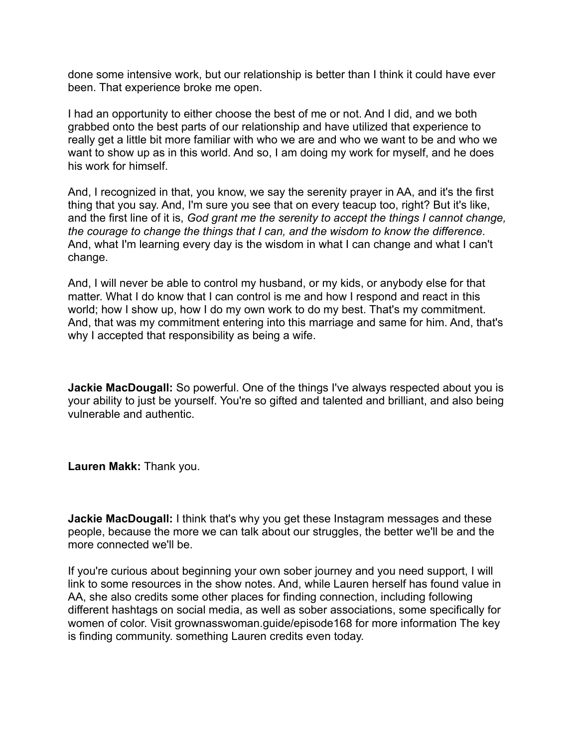done some intensive work, but our relationship is better than I think it could have ever been. That experience broke me open.

I had an opportunity to either choose the best of me or not. And I did, and we both grabbed onto the best parts of our relationship and have utilized that experience to really get a little bit more familiar with who we are and who we want to be and who we want to show up as in this world. And so, I am doing my work for myself, and he does his work for himself.

And, I recognized in that, you know, we say the serenity prayer in AA, and it's the first thing that you say. And, I'm sure you see that on every teacup too, right? But it's like, and the first line of it is, *God grant me the serenity to accept the things I cannot change, the courage to change the things that I can, and the wisdom to know the difference*. And, what I'm learning every day is the wisdom in what I can change and what I can't change.

And, I will never be able to control my husband, or my kids, or anybody else for that matter. What I do know that I can control is me and how I respond and react in this world; how I show up, how I do my own work to do my best. That's my commitment. And, that was my commitment entering into this marriage and same for him. And, that's why I accepted that responsibility as being a wife.

**Jackie MacDougall:** So powerful. One of the things I've always respected about you is your ability to just be yourself. You're so gifted and talented and brilliant, and also being vulnerable and authentic.

**Lauren Makk:** Thank you.

**Jackie MacDougall:** I think that's why you get these Instagram messages and these people, because the more we can talk about our struggles, the better we'll be and the more connected we'll be.

If you're curious about beginning your own sober journey and you need support, I will link to some resources in the show notes. And, while Lauren herself has found value in AA, she also credits some other places for finding connection, including following different hashtags on social media, as well as sober associations, some specifically for women of color. Visit grownasswoman.guide/episode168 for more information The key is finding community. something Lauren credits even today.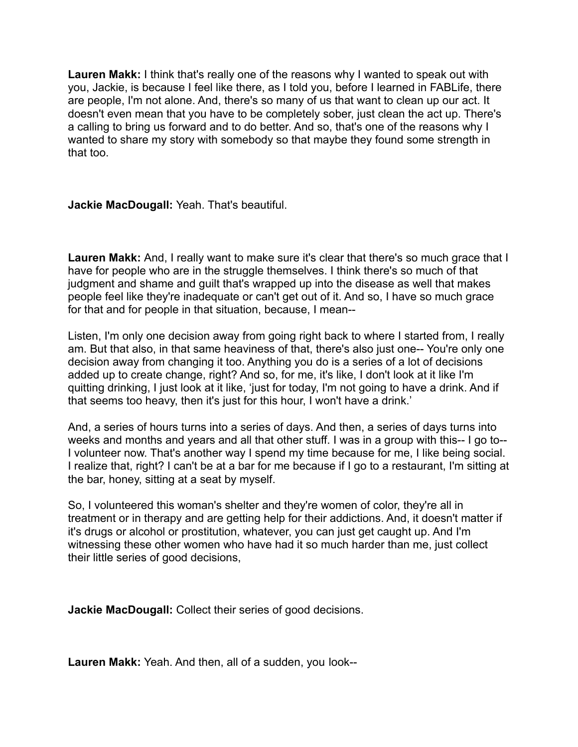**Lauren Makk:** I think that's really one of the reasons why I wanted to speak out with you, Jackie, is because I feel like there, as I told you, before I learned in FABLife, there are people, I'm not alone. And, there's so many of us that want to clean up our act. It doesn't even mean that you have to be completely sober, just clean the act up. There's a calling to bring us forward and to do better. And so, that's one of the reasons why I wanted to share my story with somebody so that maybe they found some strength in that too.

**Jackie MacDougall:** Yeah. That's beautiful.

Lauren Makk: And, I really want to make sure it's clear that there's so much grace that I have for people who are in the struggle themselves. I think there's so much of that judgment and shame and guilt that's wrapped up into the disease as well that makes people feel like they're inadequate or can't get out of it. And so, I have so much grace for that and for people in that situation, because, I mean--

Listen, I'm only one decision away from going right back to where I started from, I really am. But that also, in that same heaviness of that, there's also just one-- You're only one decision away from changing it too. Anything you do is a series of a lot of decisions added up to create change, right? And so, for me, it's like, I don't look at it like I'm quitting drinking, I just look at it like, 'just for today, I'm not going to have a drink. And if that seems too heavy, then it's just for this hour, I won't have a drink.'

And, a series of hours turns into a series of days. And then, a series of days turns into weeks and months and years and all that other stuff. I was in a group with this-- I go to--I volunteer now. That's another way I spend my time because for me, I like being social. I realize that, right? I can't be at a bar for me because if I go to a restaurant, I'm sitting at the bar, honey, sitting at a seat by myself.

So, I volunteered this woman's shelter and they're women of color, they're all in treatment or in therapy and are getting help for their addictions. And, it doesn't matter if it's drugs or alcohol or prostitution, whatever, you can just get caught up. And I'm witnessing these other women who have had it so much harder than me, just collect their little series of good decisions,

**Jackie MacDougall:** Collect their series of good decisions.

**Lauren Makk:** Yeah. And then, all of a sudden, you look--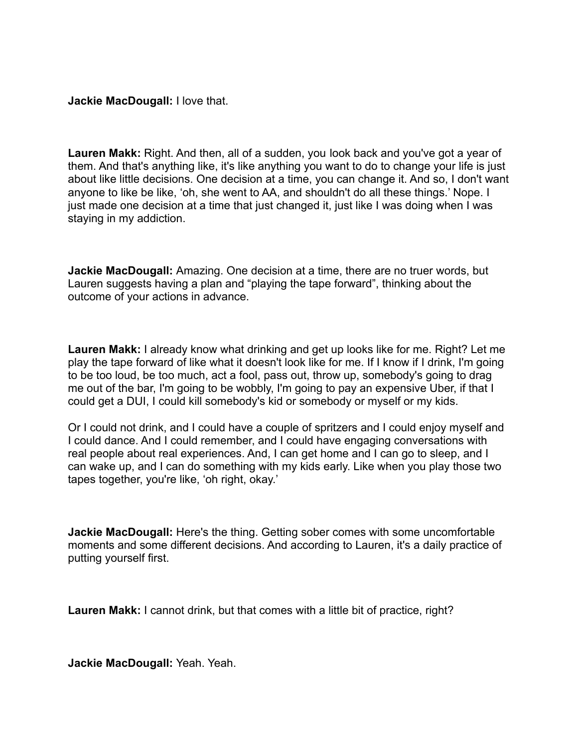### **Jackie MacDougall:** I love that.

**Lauren Makk:** Right. And then, all of a sudden, you look back and you've got a year of them. And that's anything like, it's like anything you want to do to change your life is just about like little decisions. One decision at a time, you can change it. And so, I don't want anyone to like be like, 'oh, she went to AA, and shouldn't do all these things.' Nope. I just made one decision at a time that just changed it, just like I was doing when I was staying in my addiction.

**Jackie MacDougall:** Amazing. One decision at a time, there are no truer words, but Lauren suggests having a plan and "playing the tape forward", thinking about the outcome of your actions in advance.

**Lauren Makk:** I already know what drinking and get up looks like for me. Right? Let me play the tape forward of like what it doesn't look like for me. If I know if I drink, I'm going to be too loud, be too much, act a fool, pass out, throw up, somebody's going to drag me out of the bar, I'm going to be wobbly, I'm going to pay an expensive Uber, if that I could get a DUI, I could kill somebody's kid or somebody or myself or my kids.

Or I could not drink, and I could have a couple of spritzers and I could enjoy myself and I could dance. And I could remember, and I could have engaging conversations with real people about real experiences. And, I can get home and I can go to sleep, and I can wake up, and I can do something with my kids early. Like when you play those two tapes together, you're like, 'oh right, okay.'

**Jackie MacDougall:** Here's the thing. Getting sober comes with some uncomfortable moments and some different decisions. And according to Lauren, it's a daily practice of putting yourself first.

**Lauren Makk:** I cannot drink, but that comes with a little bit of practice, right?

**Jackie MacDougall:** Yeah. Yeah.